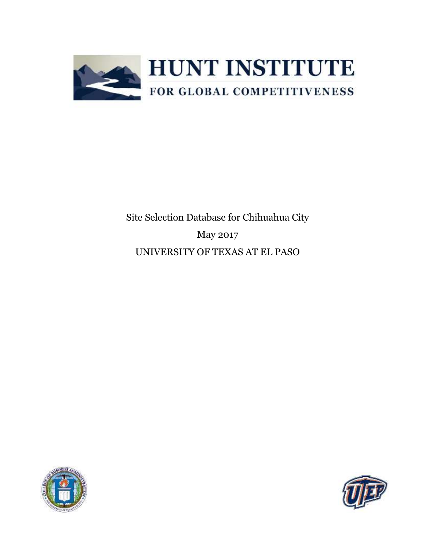

Site Selection Database for Chihuahua City May 2017 UNIVERSITY OF TEXAS AT EL PASO



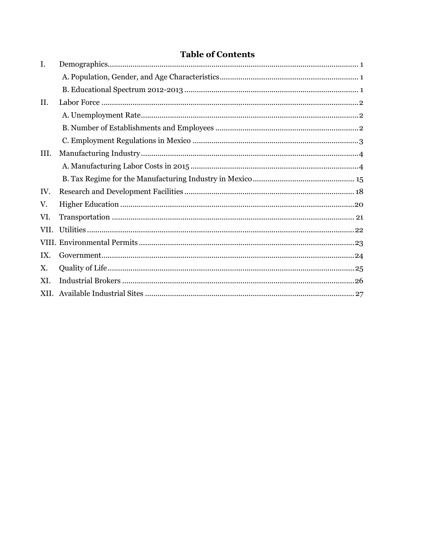## **Table of Contents**

| $\mathbf{I}$ . |  |
|----------------|--|
|                |  |
|                |  |
| II.            |  |
|                |  |
|                |  |
|                |  |
| III.           |  |
|                |  |
|                |  |
| IV.            |  |
| V.             |  |
| VI.            |  |
| VII.           |  |
|                |  |
| IX.            |  |
| Χ.             |  |
| XI.            |  |
|                |  |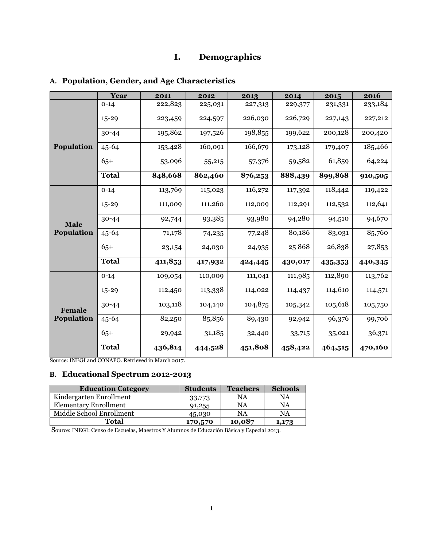## **I. Demographics**

## <span id="page-2-1"></span><span id="page-2-0"></span>**A. Population, Gender, and Age Characteristics**

|             | Year         | 2011    | 2012    | 2013    | 2014    | 2015    | 2016    |
|-------------|--------------|---------|---------|---------|---------|---------|---------|
|             | $0 - 14$     | 222,823 | 225,031 | 227,313 | 229,377 | 231,331 | 233,184 |
|             | $15 - 29$    | 223,459 | 224,597 | 226,030 | 226,729 | 227,143 | 227,212 |
|             | $30 - 44$    | 195,862 | 197,526 | 198,855 | 199,622 | 200,128 | 200,420 |
| Population  | $45 - 64$    | 153,428 | 160,091 | 166,679 | 173,128 | 179,407 | 185,466 |
|             | $65+$        | 53,096  | 55,215  | 57,376  | 59,582  | 61,859  | 64,224  |
|             | <b>Total</b> | 848,668 | 862,460 | 876,253 | 888,439 | 899,868 | 910,505 |
|             | $0 - 14$     | 113,769 | 115,023 | 116,272 | 117,392 | 118,442 | 119,422 |
|             | $15 - 29$    | 111,009 | 111,260 | 112,009 | 112,291 | 112,532 | 112,641 |
| <b>Male</b> | $30 - 44$    | 92,744  | 93,385  | 93,980  | 94,280  | 94,510  | 94,670  |
| Population  | $45 - 64$    | 71,178  | 74,235  | 77,248  | 80,186  | 83,031  | 85,760  |
|             | $65+$        | 23,154  | 24,030  | 24,935  | 25868   | 26,838  | 27,853  |
|             | <b>Total</b> | 411,853 | 417,932 | 424,445 | 430,017 | 435,353 | 440,345 |
|             | $0 - 14$     | 109,054 | 110,009 | 111,041 | 111,985 | 112,890 | 113,762 |
|             | $15 - 29$    | 112,450 | 113,338 | 114,022 | 114,437 | 114,610 | 114,571 |
| Female      | $30 - 44$    | 103,118 | 104,140 | 104,875 | 105,342 | 105,618 | 105,750 |
| Population  | $45 - 64$    | 82,250  | 85,856  | 89,430  | 92,942  | 96,376  | 99,706  |
|             | $65+$        | 29,942  | 31,185  | 32,440  | 33,715  | 35,021  | 36,371  |
|             | <b>Total</b> | 436,814 | 444,528 | 451,808 | 458,422 | 464,515 | 470,160 |

Source: INEGI and CONAPO. Retrieved in March 2017.

### <span id="page-2-2"></span>**B. Educational Spectrum 2012-2013**

| <b>Education Category</b> | <b>Students</b> | <b>Teachers</b> | <b>Schools</b> |
|---------------------------|-----------------|-----------------|----------------|
| Kindergarten Enrollment   | 33,773          | NA              | NA             |
| Elementary Enrollment     | 91,255          | NA              | NA             |
| Middle School Enrollment  | 45,030          | NA              | NA             |
| <b>Total</b>              | 170,570         | 10,087          | 1,173          |

Source: INEGI: Censo de Escuelas, Maestros Y Alumnos de Educación Básica y Especial 2013.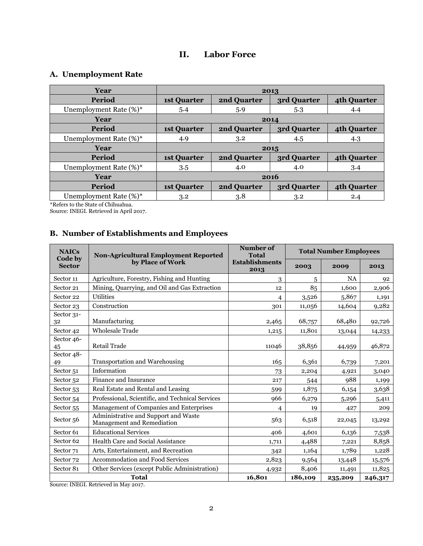## **II. Labor Force**

## <span id="page-3-1"></span><span id="page-3-0"></span>**A. Unemployment Rate**

| Year                   | 2013               |             |             |             |  |  |
|------------------------|--------------------|-------------|-------------|-------------|--|--|
| Period                 | <b>1st Quarter</b> | 2nd Quarter | 3rd Quarter | 4th Quarter |  |  |
| Unemployment Rate (%)* | 5.4                | 5.9         | 5.3         | 4.4         |  |  |
| Year                   | 2014               |             |             |             |  |  |
| Period                 | <b>1st Quarter</b> | 2nd Quarter | 3rd Quarter | 4th Quarter |  |  |
| Unemployment Rate (%)* | 4.9                | 3.2         | 4.5         | 4.3         |  |  |
| Year                   |                    |             | 2015        |             |  |  |
| Period                 | <b>1st Quarter</b> | 2nd Quarter | 3rd Quarter | 4th Quarter |  |  |
| Unemployment Rate (%)* | 3.5                | 4.0         | 4.0         | 3.4         |  |  |
| Year                   | 2016               |             |             |             |  |  |
| Period                 | <b>1st Quarter</b> | 2nd Quarter | 3rd Quarter | 4th Quarter |  |  |
| Unemployment Rate (%)* | 3.2                | 3.8         | 3.2         | 2.4         |  |  |

\*Refers to the State of Chihuahua.

Source: INEGI. Retrieved in April 2017.

## <span id="page-3-2"></span>**B. Number of Establishments and Employees**

| <b>NAICs</b>             | <b>Non-Agricultural Employment Reported</b>                        | Number of<br><b>Total</b>     | <b>Total Number Employees</b> |           |         |  |
|--------------------------|--------------------------------------------------------------------|-------------------------------|-------------------------------|-----------|---------|--|
| Code by<br><b>Sector</b> | by Place of Work                                                   | <b>Establishments</b><br>2013 | 2003                          | 2009      | 2013    |  |
| Sector 11                | Agriculture, Forestry, Fishing and Hunting                         | 3                             | 5                             | <b>NA</b> | 92      |  |
| Sector 21                | Mining, Quarrying, and Oil and Gas Extraction                      | 12                            | 85                            | 1,600     | 2,906   |  |
| Sector 22                | Utilities                                                          | $\overline{4}$                | 3,526                         | 5,867     | 1,191   |  |
| Sector 23                | Construction                                                       | 301                           | 11,056                        | 14,604    | 9,282   |  |
| Sector 31-<br>32         | Manufacturing                                                      | 2,465                         | 68,757                        | 68,480    | 92,726  |  |
| Sector 42                | <b>Wholesale Trade</b>                                             | 1,215                         | 11,801                        | 13,044    | 14,233  |  |
| Sector 46-<br>45         | Retail Trade                                                       | 11046                         | 38,856                        | 44,959    | 46,872  |  |
| Sector 48-<br>49         | <b>Transportation and Warehousing</b>                              | 165                           | 6,361                         | 6,739     | 7,201   |  |
| Sector <sub>51</sub>     | Information                                                        | 73                            | 2,204                         | 4,921     | 3,040   |  |
| Sector <sub>52</sub>     | Finance and Insurance                                              | 217                           | 544                           | 988       | 1,199   |  |
| Sector 53                | Real Estate and Rental and Leasing                                 | 599                           | 1,875                         | 6,154     | 3,638   |  |
| Sector 54                | Professional, Scientific, and Technical Services                   | 966                           | 6,279                         | 5,296     | 5,411   |  |
| Sector 55                | Management of Companies and Enterprises                            | $\overline{4}$                | 19                            | 427       | 209     |  |
| Sector 56                | Administrative and Support and Waste<br>Management and Remediation | 563                           | 6,518                         | 22,045    | 13,292  |  |
| Sector <sub>61</sub>     | <b>Educational Services</b>                                        | 406                           | 4,601                         | 6,136     | 7,538   |  |
| Sector <sub>62</sub>     | Health Care and Social Assistance                                  | 1,711                         | 4,488                         | 7,221     | 8,858   |  |
| Sector <sub>71</sub>     | Arts, Entertainment, and Recreation                                | 342                           | 1,164                         | 1,789     | 1,228   |  |
| Sector 72                | Accommodation and Food Services                                    | 2,823                         | 9,564                         | 13,448    | 15,576  |  |
| Sector 81                | Other Services (except Public Administration)                      | 4,932                         | 8,406                         | 11,491    | 11,825  |  |
|                          | <b>Total</b>                                                       | 16,801                        | 186,109                       | 235,209   | 246,317 |  |

Source: INEGI. Retrieved in May 2017.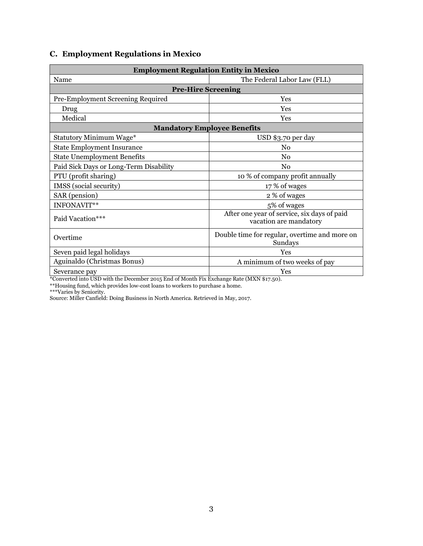## <span id="page-4-0"></span>**C. Employment Regulations in Mexico**

| <b>Employment Regulation Entity in Mexico</b> |                                                                       |  |  |  |  |  |  |
|-----------------------------------------------|-----------------------------------------------------------------------|--|--|--|--|--|--|
| Name                                          | The Federal Labor Law (FLL)                                           |  |  |  |  |  |  |
| <b>Pre-Hire Screening</b>                     |                                                                       |  |  |  |  |  |  |
| Pre-Employment Screening Required             | Yes                                                                   |  |  |  |  |  |  |
| Drug                                          | Yes                                                                   |  |  |  |  |  |  |
| Medical                                       | Yes                                                                   |  |  |  |  |  |  |
|                                               | <b>Mandatory Employee Benefits</b>                                    |  |  |  |  |  |  |
| <b>Statutory Minimum Wage*</b>                | USD \$3.70 per day                                                    |  |  |  |  |  |  |
| <b>State Employment Insurance</b>             | No                                                                    |  |  |  |  |  |  |
| <b>State Unemployment Benefits</b>            | No                                                                    |  |  |  |  |  |  |
| Paid Sick Days or Long-Term Disability        | No                                                                    |  |  |  |  |  |  |
| PTU (profit sharing)                          | 10 % of company profit annually                                       |  |  |  |  |  |  |
| IMSS (social security)                        | 17 % of wages                                                         |  |  |  |  |  |  |
| SAR (pension)                                 | 2 % of wages                                                          |  |  |  |  |  |  |
| INFONAVIT**                                   | 5% of wages                                                           |  |  |  |  |  |  |
| Paid Vacation***                              | After one year of service, six days of paid<br>vacation are mandatory |  |  |  |  |  |  |
| Overtime                                      | Double time for regular, overtime and more on<br>Sundays              |  |  |  |  |  |  |
| Seven paid legal holidays                     | Yes                                                                   |  |  |  |  |  |  |
| Aguinaldo (Christmas Bonus)                   | A minimum of two weeks of pay                                         |  |  |  |  |  |  |
| Severance pay                                 | Yes                                                                   |  |  |  |  |  |  |

\*Converted into USD with the December 2015 End of Month Fix Exchange Rate (MXN \$17.50).

\*\*Housing fund, which provides low-cost loans to workers to purchase a home.

\*\*\*Varies by Seniority.

Source: Miller Canfield: Doing Business in North America. Retrieved in May, 2017.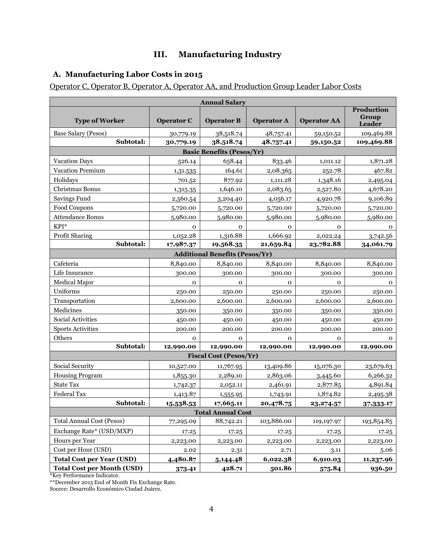## **III. Manufacturing Industry**

## <span id="page-5-1"></span><span id="page-5-0"></span>**A. Manufacturing Labor Costs in 2015**

Operator C, Operator B, Operator A, Operator AA, and Production Group Leader Labor Costs

|                                       | <b>Annual Salary</b> |                                  |                   |                    |                                      |  |  |  |  |  |
|---------------------------------------|----------------------|----------------------------------|-------------------|--------------------|--------------------------------------|--|--|--|--|--|
| <b>Type of Worker</b>                 | <b>Operator C</b>    | <b>Operator B</b>                | <b>Operator A</b> | <b>Operator AA</b> | <b>Production</b><br>Group<br>Leader |  |  |  |  |  |
| Base Salary (Pesos)                   | 30,779.19            | 38,518.74                        | 48,757.41         | 59,150.52          | 109,469.88                           |  |  |  |  |  |
| Subtotal:                             | 30,779.19            | 38,518.74                        | 48,757.41         | 59,150.52          | 109,469.88                           |  |  |  |  |  |
|                                       |                      | <b>Basic Benefits (Pesos/Yr)</b> |                   |                    |                                      |  |  |  |  |  |
| <b>Vacation Days</b>                  | 526.14               | 658.44                           | 833.46            | 1,011.12           | 1,871.28                             |  |  |  |  |  |
| Vacation Premium                      | 1,31.535             | 164.61                           | 2,08.365          | 252.78             | 467.82                               |  |  |  |  |  |
| Holidays                              | 701.52               | 877.92                           | 1,111.28          | 1,348.16           | 2,495.04                             |  |  |  |  |  |
| Christmas Bonus                       | 1,315.35             | 1,646.10                         | 2,083.65          | 2,527.80           | 4,678.20                             |  |  |  |  |  |
| Savings Fund                          | 2,560.54             | 3,204.40                         | 4,056.17          | 4,920.78           | 9,106.89                             |  |  |  |  |  |
| Food Coupons                          | 5,720.00             | 5,720.00                         | 5,720.00          | 5,720.00           | 5,720.00                             |  |  |  |  |  |
| <b>Attendance Bonus</b>               | 5,980.00             | 5,980.00                         | 5,980.00          | 5,980.00           | 5,980.00                             |  |  |  |  |  |
| KPI*                                  | 0                    | 0                                | $\mathbf 0$       | 0                  | 0                                    |  |  |  |  |  |
| Profit Sharing                        | 1,052.28             | 1,316.88                         | 1,666.92          | 2,022.24           | 3,742.56                             |  |  |  |  |  |
| Subtotal:                             | 17,987.37            | 19,568.35                        | 21,659.84         | 23,782.88          | 34,061.79                            |  |  |  |  |  |
| <b>Additional Benefits (Pesos/Yr)</b> |                      |                                  |                   |                    |                                      |  |  |  |  |  |
| Cafeteria                             | 8,840.00             | 8,840.00                         | 8,840.00          | 8,840.00           | 8,840.00                             |  |  |  |  |  |
| Life Insurance                        | 300.00               | 300.00                           | 300.00            | 300.00             | 300.00                               |  |  |  |  |  |
| <b>Medical Major</b>                  | $\mathbf 0$          | $\mathbf{O}$                     | $\mathbf 0$       | $\mathbf 0$        | $\mathbf 0$                          |  |  |  |  |  |
| Uniforms                              | 250.00               | 250.00                           | 250.00            | 250.00             | 250.00                               |  |  |  |  |  |
| Transportation                        | 2,600.00             | 2,600.00                         | 2,600.00          | 2,600.00           | 2,600.00                             |  |  |  |  |  |
| Medicines                             | 350.00               | 350.00                           | 350.00            | 350.00             | 350.00                               |  |  |  |  |  |
| Social Activities                     | 450.00               | 450.00                           | 450.00            | 450.00             | 450.00                               |  |  |  |  |  |
| <b>Sports Activities</b>              | 200.00               | 200.00                           | 200.00            | 200.00             | 200.00                               |  |  |  |  |  |
| Others                                | $\mathbf 0$          | $\mathbf 0$                      | $\mathbf 0$       | 0                  | 0                                    |  |  |  |  |  |
| Subtotal:                             | 12,990.00            | 12,990.00                        | 12,990.00         | 12,990.00          | 12,990.00                            |  |  |  |  |  |
|                                       |                      | <b>Fiscal Cost (Pesos/Yr)</b>    |                   |                    |                                      |  |  |  |  |  |
| Social Security                       | 10,527.00            | 11,767.95                        | 13,409.86         | 15,076.30          | 23,679.63                            |  |  |  |  |  |
| <b>Housing Program</b>                | 1,855.30             | 2,289.10                         | 2,863.06          | 3,445.60           | 6,266.32                             |  |  |  |  |  |
| <b>State Tax</b>                      | 1,742.37             | 2,052.11                         | 2,461.91          | 2,877.85           | 4,891.84                             |  |  |  |  |  |
| Federal Tax                           | 1,413.87             | 1,555.95                         | 1,743.91          | 1,874.82           | 2,495.38                             |  |  |  |  |  |
| Subtotal:                             | 15,538.53            | 17,665.11                        | 20,478.75         | 23, 274.57         | 37,333.17                            |  |  |  |  |  |
|                                       |                      | <b>Total Annual Cost</b>         |                   |                    |                                      |  |  |  |  |  |
| <b>Total Annual Cost (Pesos)</b>      | 77,295.09            | 88,742.21                        | 103,886.00        | 119,197.97         | 193,854.85                           |  |  |  |  |  |
| Exchange Rate* (USD/MXP)              | 17.25                | 17.25                            | 17.25             | 17.25              | 17.25                                |  |  |  |  |  |
| Hours per Year                        | 2,223.00             | 2,223.00                         | 2,223.00          | 2,223.00           | 2,223.00                             |  |  |  |  |  |
| Cost per Hour (USD)                   | 2.02                 | 2.31                             | 2.71              | 3.11               | 5.06                                 |  |  |  |  |  |
| <b>Total Cost per Year (USD)</b>      | 4,480.87             | 5, 144. 48                       | 6,022.38          | 6,910.03           | 11,237.96                            |  |  |  |  |  |
| <b>Total Cost per Month (USD)</b>     | 373.41               | 428.71                           | 501.86            | 575.84             | 936.50                               |  |  |  |  |  |

\*Key Performance Indicator.

\*\*December 2015 End of Month Fix Exchange Rate.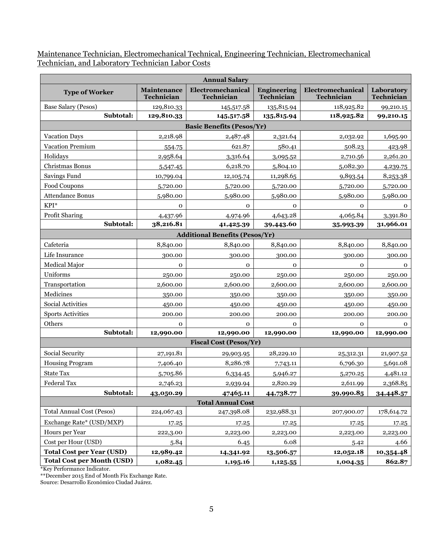Maintenance Technician, Electromechanical Technical, Engineering Technician, Electromechanical Technician, and Laboratory Technician Labor Costs

|                                   |                                  | <b>Annual Salary</b>                  |                                  |                                 |                          |
|-----------------------------------|----------------------------------|---------------------------------------|----------------------------------|---------------------------------|--------------------------|
| <b>Type of Worker</b>             | Maintenance<br><b>Technician</b> | Electromechanical<br>Technician       | <b>Engineering</b><br>Technician | Electromechanical<br>Technician | Laboratory<br>Technician |
| Base Salary (Pesos)               | 129,810.33                       | 145,517.58                            | 135,815.94                       | 118,925.82                      | 99,210.15                |
| Subtotal:                         | 129,810.33                       | 145,517.58                            | 135,815.94                       | 118,925.82                      | 99,210.15                |
|                                   |                                  | <b>Basic Benefits (Pesos/Yr)</b>      |                                  |                                 |                          |
| <b>Vacation Days</b>              | 2,218.98                         | 2,487.48                              | 2,321.64                         | 2,032.92                        | 1,695.90                 |
| Vacation Premium                  | 554.75                           | 621.87                                | 580.41                           | 508.23                          | 423.98                   |
| Holidays                          | 2,958.64                         | 3,316.64                              | 3,095.52                         | 2,710.56                        | 2,261.20                 |
| Christmas Bonus                   | 5,547.45                         | 6,218.70                              | 5,804.10                         | 5,082.30                        | 4,239.75                 |
| Savings Fund                      | 10,799.04                        | 12,105.74                             | 11,298.65                        | 9,893.54                        | 8,253.38                 |
| Food Coupons                      | 5,720.00                         | 5,720.00                              | 5,720.00                         | 5,720.00                        | 5,720.00                 |
| <b>Attendance Bonus</b>           | 5,980.00                         | 5,980.00                              | 5,980.00                         | 5,980.00                        | 5,980.00                 |
| KPI*                              | $\mathbf 0$                      | $\mathbf 0$                           | $\mathbf{0}$                     | $\mathbf 0$                     | $\mathbf{O}$             |
| Profit Sharing                    | 4,437.96                         | 4,974.96                              | 4,643.28                         | 4,065.84                        | 3,391.80                 |
| Subtotal:                         | 38,216.81                        | 41,425.39                             | 39,443.60                        | 35,993-39                       | 31,966.01                |
|                                   |                                  | <b>Additional Benefits (Pesos/Yr)</b> |                                  |                                 |                          |
| Cafeteria                         | 8,840.00                         | 8,840.00                              | 8,840.00                         | 8,840.00                        | 8,840.00                 |
| Life Insurance                    | 300.00                           | 300.00                                | 300.00                           | 300.00                          | 300.00                   |
| Medical Major                     | $\mathbf 0$                      | 0                                     | $\mathbf{0}$                     | $\mathbf 0$                     | $\mathbf 0$              |
| Uniforms                          | 250.00                           | 250.00                                | 250.00                           | 250.00                          | 250.00                   |
| Transportation                    | 2,600.00                         | 2,600.00                              | 2,600.00                         | 2,600.00                        | 2,600.00                 |
| Medicines                         | 350.00                           | 350.00                                | 350.00                           | 350.00                          | 350.00                   |
| Social Activities                 | 450.00                           | 450.00                                | 450.00                           | 450.00                          | 450.00                   |
| <b>Sports Activities</b>          | 200.00                           | 200.00                                | 200.00                           | 200.00                          | 200.00                   |
| Others                            | $\Omega$                         | $\mathbf 0$                           | $\mathbf{0}$                     | $\mathbf{O}$                    | $\mathbf{o}$             |
| Subtotal:                         | 12,990.00                        | 12,990.00                             | 12,990.00                        | 12,990.00                       | 12,990.00                |
|                                   |                                  | <b>Fiscal Cost (Pesos/Yr)</b>         |                                  |                                 |                          |
| Social Security                   | 27,191.81                        | 29,903.95                             | 28,229.10                        | 25,312.31                       | 21,907.52                |
| <b>Housing Program</b>            | 7,406.40                         | 8,286.78                              | 7,743.11                         | 6,796.30                        | 5,691.08                 |
| <b>State Tax</b>                  | 5,705.86                         | 6,334.45                              | 5,946.27                         | 5,270.25                        | 4,481.12                 |
| Federal Tax                       | 2,746.23                         | 2,939.94                              | 2,820.29                         | 2,611.99                        | 2,368.85                 |
| Subtotal:                         | 43,050.29                        | 47465.11                              | 44,738.77                        | 39,990.85                       | 34,448.57                |
|                                   |                                  | <b>Total Annual Cost</b>              |                                  |                                 |                          |
| <b>Total Annual Cost (Pesos)</b>  | 224,067.43                       | 247,398.08                            | 232,988.31                       | 207,900.07                      | 178,614.72               |
| Exchange Rate* (USD/MXP)          | 17.25                            | 17.25                                 | 17.25                            | 17.25                           | 17.25                    |
| Hours per Year                    | 222,3.00                         | 2,223.00                              | 2,223.00                         | 2,223.00                        | 2,223.00                 |
| Cost per Hour (USD)               | 5.84                             | 6.45                                  | 6.08                             | 5.42                            | 4.66                     |
| <b>Total Cost per Year (USD)</b>  | 12,989.42                        | 14,341.92                             | 13,506.57                        | 12,052.18                       | 10,354.48                |
| <b>Total Cost per Month (USD)</b> | 1,082.45                         | 1,195.16                              | 1,125.55                         | 1,004.35                        | 862.87                   |

\*Key Performance Indicator.

\*\*December 2015 End of Month Fix Exchange Rate.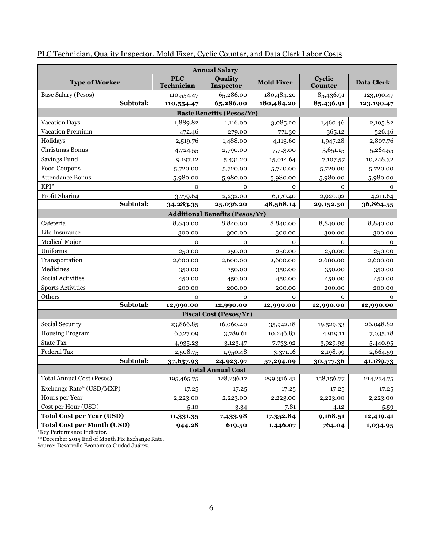| <b>Annual Salary</b>              |                          |                                       |                   |                          |                   |  |  |
|-----------------------------------|--------------------------|---------------------------------------|-------------------|--------------------------|-------------------|--|--|
| <b>Type of Worker</b>             | <b>PLC</b><br>Technician | Quality<br>Inspector                  | <b>Mold Fixer</b> | Cyclic<br><b>Counter</b> | <b>Data Clerk</b> |  |  |
| Base Salary (Pesos)               | 110,554.47               | 65,286.00                             | 180,484.20        | 85,436.91                | 123,190.47        |  |  |
| Subtotal:                         | 110,554.47               | 65,286.00                             | 180,484.20        | 85,436.91                | 123,190.47        |  |  |
|                                   |                          | <b>Basic Benefits (Pesos/Yr)</b>      |                   |                          |                   |  |  |
| Vacation Days                     | 1,889.82                 | 1,116.00                              | 3,085.20          | 1,460.46                 | 2,105.82          |  |  |
| Vacation Premium                  | 472.46                   | 279.00                                | 771.30            | 365.12                   | 526.46            |  |  |
| Holidays                          | 2,519.76                 | 1,488.00                              | 4,113.60          | 1,947.28                 | 2,807.76          |  |  |
| Christmas Bonus                   | 4,724.55                 | 2,790.00                              | 7,713.00          | 3,651.15                 | 5,264.55          |  |  |
| Savings Fund                      | 9,197.12                 | 5,431.20                              | 15,014.64         | 7,107.57                 | 10,248.32         |  |  |
| Food Coupons                      | 5,720.00                 | 5,720.00                              | 5,720.00          | 5,720.00                 | 5,720.00          |  |  |
| <b>Attendance Bonus</b>           | 5,980.00                 | 5,980.00                              | 5,980.00          | 5,980.00                 | 5,980.00          |  |  |
| KPI*                              | $\mathbf 0$              | $\mathbf 0$                           | $\mathbf 0$       | $\mathbf 0$              | 0                 |  |  |
| Profit Sharing                    | 3,779.64                 | 2,232.00                              | 6,170.40          | 2,920.92                 | 4,211.64          |  |  |
| Subtotal:                         | 34,283.35                | 25,036.20                             | 48,568.14         | 29,152.50                | 36,864.55         |  |  |
|                                   |                          | <b>Additional Benefits (Pesos/Yr)</b> |                   |                          |                   |  |  |
| Cafeteria                         | 8,840.00                 | 8,840.00                              | 8,840.00          | 8,840.00                 | 8,840.00          |  |  |
| Life Insurance                    | 300.00                   | 300.00                                | 300.00            | 300.00                   | 300.00            |  |  |
| Medical Major                     | $\mathbf{O}$             | $\mathbf{O}$                          | $\mathbf{O}$      | $\mathbf{O}$             | $\mathbf{0}$      |  |  |
| Uniforms                          | 250.00                   | 250.00                                | 250.00            | 250.00                   | 250.00            |  |  |
| Transportation                    | 2,600.00                 | 2,600.00                              | 2,600.00          | 2,600.00                 | 2,600.00          |  |  |
| Medicines                         | 350.00                   | 350.00                                | 350.00            | 350.00                   | 350.00            |  |  |
| Social Activities                 | 450.00                   | 450.00                                | 450.00            | 450.00                   | 450.00            |  |  |
| <b>Sports Activities</b>          | 200.00                   | 200.00                                | 200.00            | 200.00                   | 200.00            |  |  |
| Others                            | $\mathbf{O}$             | $\mathbf{O}$                          | $\Omega$          | $\mathbf{O}$             | $\Omega$          |  |  |
| Subtotal:                         | 12,990.00                | 12,990.00                             | 12,990.00         | 12,990.00                | 12,990.00         |  |  |
|                                   |                          | <b>Fiscal Cost (Pesos/Yr)</b>         |                   |                          |                   |  |  |
| Social Security                   | 23,866.85                | 16,060.40                             | 35,942.18         | 19,529.33                | 26,048.82         |  |  |
| <b>Housing Program</b>            | 6,327.09                 | 3,789.61                              | 10,246.83         | 4,919.11                 | 7,035.38          |  |  |
| <b>State Tax</b>                  | 4,935.23                 | 3,123.47                              | 7,733.92          | 3,929.93                 | 5,440.95          |  |  |
| Federal Tax                       | 2,508.75                 | 1,950.48                              | 3,371.16          | 2,198.99                 | 2,664.59          |  |  |
| Subtotal:                         | 37,637.93                | 24,923.97                             | 57,294.09         | 30,577.36                | 41,189.73         |  |  |
|                                   |                          | <b>Total Annual Cost</b>              |                   |                          |                   |  |  |
| <b>Total Annual Cost (Pesos)</b>  | 195,465.75               | 128,236.17                            | 299,336.43        | 158,156.77               | 214, 234. 75      |  |  |
| Exchange Rate* (USD/MXP)          | 17.25                    | 17.25                                 | 17.25             | 17.25                    | 17.25             |  |  |
| Hours per Year                    | 2,223.00                 | 2,223.00                              | 2,223.00          | 2,223.00                 | 2,223.00          |  |  |
| Cost per Hour (USD)               | 5.10                     | 3.34                                  | 7.81              | 4.12                     | 5.59              |  |  |
| <b>Total Cost per Year (USD)</b>  | 11,331.35                | 7,433.98                              | 17,352.84         | 9,168.51                 | 12,419.41         |  |  |
| <b>Total Cost per Month (USD)</b> | 944.28                   | 619.50                                | 1,446.07          | 764.04                   | 1,034.95          |  |  |

## PLC Technician, Quality Inspector, Mold Fixer, Cyclic Counter, and Data Clerk Labor Costs

\*Key Performance Indicator.

\*\*December 2015 End of Month Fix Exchange Rate.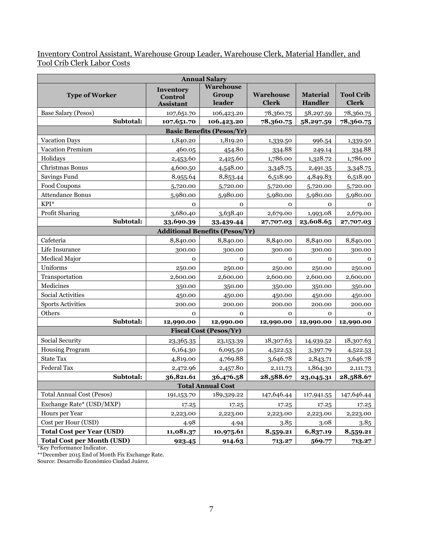Inventory Control Assistant, Warehouse Group Leader, Warehouse Clerk, Material Handler, and Tool Crib Clerk Labor Costs

|                                   |                                          | <b>Annual Salary</b>                  |                                  |                                   |                                  |
|-----------------------------------|------------------------------------------|---------------------------------------|----------------------------------|-----------------------------------|----------------------------------|
| <b>Type of Worker</b>             | Inventory<br>Control<br><b>Assistant</b> | Warehouse<br>Group<br>leader          | <b>Warehouse</b><br><b>Clerk</b> | <b>Material</b><br><b>Handler</b> | <b>Tool Crib</b><br><b>Clerk</b> |
| Base Salary (Pesos)               | 107,651.70                               | 106,423.20                            | 78,360.75                        | 58,297.59                         | 78,360.75                        |
| Subtotal:                         | 107,651.70                               | 106,423.20                            | 78,360.75                        | 58,297.59                         | 78,360.75                        |
|                                   |                                          | <b>Basic Benefits (Pesos/Yr)</b>      |                                  |                                   |                                  |
| <b>Vacation Days</b>              | 1,840.20                                 | 1,819.20                              | 1,339.50                         | 996.54                            | 1,339.50                         |
| Vacation Premium                  | 460.05                                   | 454.80                                | 334.88                           | 249.14                            | 334.88                           |
| Holidays                          | 2,453.60                                 | 2,425.60                              | 1,786.00                         | 1,328.72                          | 1,786.00                         |
| Christmas Bonus                   | 4,600.50                                 | 4,548.00                              | 3,348.75                         | 2,491.35                          | 3,348.75                         |
| Savings Fund                      | 8,955.64                                 | 8,853.44                              | 6,518.90                         | 4,849.83                          | 6,518.90                         |
| Food Coupons                      | 5,720.00                                 | 5,720.00                              | 5,720.00                         | 5,720.00                          | 5,720.00                         |
| <b>Attendance Bonus</b>           | 5,980.00                                 | 5,980.00                              | 5,980.00                         | 5,980.00                          | 5,980.00                         |
| $KPI^*$                           | $\mathbf 0$                              | $\mathbf{O}$                          | $\mathbf 0$                      | $\mathbf O$                       | $\mathbf 0$                      |
| Profit Sharing                    | 3,680.40                                 | 3,638.40                              | 2,679.00                         | 1,993.08                          | 2,679.00                         |
| Subtotal:                         | 33,690.39                                | 33,439.44                             | 27,707.03                        | 23,608.65                         | 27,707.03                        |
|                                   |                                          | <b>Additional Benefits (Pesos/Yr)</b> |                                  |                                   |                                  |
| Cafeteria                         | 8,840.00                                 | 8,840.00                              | 8,840.00                         | 8,840.00                          | 8,840.00                         |
| Life Insurance                    | 300.00                                   | 300.00                                | 300.00                           | 300.00                            | 300.00                           |
| Medical Major                     | $\mathbf 0$                              | $\mathbf{O}$                          | $\mathbf{O}$                     | $\mathbf{O}$                      | $\mathbf 0$                      |
| Uniforms                          | 250.00                                   | 250.00                                | 250.00                           | 250.00                            | 250.00                           |
| Transportation                    | 2,600.00                                 | 2,600.00                              | 2,600.00                         | 2,600.00                          | 2,600.00                         |
| Medicines                         | 350.00                                   | 350.00                                | 350.00                           | 350.00                            | 350.00                           |
| Social Activities                 | 450.00                                   | 450.00                                | 450.00                           | 450.00                            | 450.00                           |
| <b>Sports Activities</b>          | 200.00                                   | 200.00                                | 200.00                           | 200.00                            | 200.00                           |
| Others                            | $\mathbf 0$                              | $\mathbf{O}$                          | $\mathbf{O}$                     | $\mathbf 0$                       | $\mathbf 0$                      |
| Subtotal:                         | 12,990.00                                | 12,990.00                             | 12,990.00                        | 12,990.00                         | 12,990.00                        |
|                                   |                                          | <b>Fiscal Cost (Pesos/Yr)</b>         |                                  |                                   |                                  |
| Social Security                   | 23,365.35                                | 23,153.39                             | 18,307.63                        | 14,939.52                         | 18,307.63                        |
| <b>Housing Program</b>            | 6,164.30                                 | 6,095.50                              | 4,522.53                         | 3,397.79                          | 4,522.53                         |
| <b>State Tax</b>                  | 4,819.00                                 | 4,769.88                              | 3,646.78                         | 2,843.71                          | 3,646.78                         |
| <b>Federal Tax</b>                | 2,472.96                                 | 2,457.80                              | 2,111.73                         | 1,864.30                          | 2,111.73                         |
| Subtotal:                         | 36,821.61                                | 36,476.58                             | 28,588.67                        | 23,045.31                         | 28,588.67                        |
|                                   |                                          | <b>Total Annual Cost</b>              |                                  |                                   |                                  |
| <b>Total Annual Cost (Pesos)</b>  | 191,153.70                               | 189,329.22                            | 147,646.44                       | 117,941.55                        | 147,646.44                       |
| Exchange Rate* (USD/MXP)          | 17.25                                    | 17.25                                 | 17.25                            | 17.25                             | 17.25                            |
| Hours per Year                    | 2,223.00                                 | 2,223.00                              | 2,223.00                         | 2,223.00                          | 2,223.00                         |
| Cost per Hour (USD)               | 4.98                                     | 4.94                                  | 3.85                             | 3.08                              | 3.85                             |
| <b>Total Cost per Year (USD)</b>  | 11,081.37                                | 10,975.61                             | 8,559.21                         | 6,837.19                          | 8,559.21                         |
| <b>Total Cost per Month (USD)</b> | 923.45                                   | 914.63                                | 713.27                           | 569.77                            | 713.27                           |

\*Key Performance Indicator.

\*\*December 2015 End of Month Fix Exchange Rate.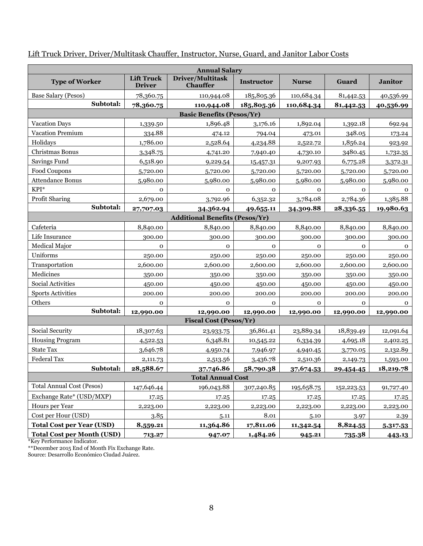|                                   | <b>Annual Salary</b>               |                                       |              |              |             |                |  |  |
|-----------------------------------|------------------------------------|---------------------------------------|--------------|--------------|-------------|----------------|--|--|
| <b>Type of Worker</b>             | <b>Lift Truck</b><br><b>Driver</b> | Driver/Multitask<br><b>Chauffer</b>   | Instructor   | <b>Nurse</b> | Guard       | <b>Janitor</b> |  |  |
| Base Salary (Pesos)               | 78,360.75                          | 110,944.08                            | 185,805.36   | 110,684.34   | 81,442.53   | 40,536.99      |  |  |
| Subtotal:                         | 78,360.75                          | 110,944.08                            | 185,805.36   | 110,684.34   | 81,442.53   | 40,536.99      |  |  |
|                                   |                                    | <b>Basic Benefits (Pesos/Yr)</b>      |              |              |             |                |  |  |
| <b>Vacation Days</b>              | 1,339.50                           | 1,896.48                              | 3,176.16     | 1,892.04     | 1,392.18    | 692.94         |  |  |
| Vacation Premium                  | 334.88                             | 474.12                                | 794.04       | 473.01       | 348.05      | 173.24         |  |  |
| Holidays                          | 1,786.00                           | 2,528.64                              | 4,234.88     | 2,522.72     | 1,856.24    | 923.92         |  |  |
| Christmas Bonus                   | 3,348.75                           | 4,741.20                              | 7,940.40     | 4,730.10     | 3480.45     | 1,732.35       |  |  |
| Savings Fund                      | 6,518.90                           | 9,229.54                              | 15,457.31    | 9,207.93     | 6,775.28    | 3,372.31       |  |  |
| Food Coupons                      | 5,720.00                           | 5,720.00                              | 5,720.00     | 5,720.00     | 5,720.00    | 5,720.00       |  |  |
| <b>Attendance Bonus</b>           | 5,980.00                           | 5,980.00                              | 5,980.00     | 5,980.00     | 5,980.00    | 5,980.00       |  |  |
| KPI*                              | $\mathbf 0$                        | 0                                     | 0            | $\mathbf 0$  | $\mathbf 0$ | $\mathbf{O}$   |  |  |
| Profit Sharing                    | 2,679.00                           | 3,792.96                              | 6,352.32     | 3,784.08     | 2,784.36    | 1,385.88       |  |  |
| Subtotal:                         | 27,707.03                          | 34,362.94                             | 49,655.11    | 34,309.88    | 28,336.55   | 19,980.63      |  |  |
|                                   |                                    | <b>Additional Benefits (Pesos/Yr)</b> |              |              |             |                |  |  |
| Cafeteria                         | 8,840.00                           | 8,840.00                              | 8,840.00     | 8,840.00     | 8,840.00    | 8,840.00       |  |  |
| Life Insurance                    | 300.00                             | 300.00                                | 300.00       | 300.00       | 300.00      | 300.00         |  |  |
| Medical Major                     | $\mathbf{O}$                       | $\mathbf{O}$                          | $\mathbf{O}$ | $\mathbf 0$  | $\mathbf 0$ | $\mathbf 0$    |  |  |
| Uniforms                          | 250.00                             | 250.00                                | 250.00       | 250.00       | 250.00      | 250.00         |  |  |
| Transportation                    | 2,600.00                           | 2,600.00                              | 2,600.00     | 2,600.00     | 2,600.00    | 2,600.00       |  |  |
| Medicines                         | 350.00                             | 350.00                                | 350.00       | 350.00       | 350.00      | 350.00         |  |  |
| Social Activities                 | 450.00                             | 450.00                                | 450.00       | 450.00       | 450.00      | 450.00         |  |  |
| <b>Sports Activities</b>          | 200.00                             | 200.00                                | 200.00       | 200.00       | 200.00      | 200.00         |  |  |
| Others                            | $\mathbf{O}$                       | 0                                     | $\mathbf 0$  | $\mathbf 0$  | $\mathbf 0$ | $\mathbf{O}$   |  |  |
| Subtotal:                         | 12,990.00                          | 12,990.00                             | 12,990.00    | 12,990.00    | 12,990.00   | 12,990.00      |  |  |
|                                   |                                    | <b>Fiscal Cost (Pesos/Yr)</b>         |              |              |             |                |  |  |
| Social Security                   | 18,307.63                          | 23,933.75                             | 36,861.41    | 23,889.34    | 18,839.49   | 12,091.64      |  |  |
| <b>Housing Program</b>            | 4,522.53                           | 6,348.81                              | 10,545.22    | 6,334.39     | 4,695.18    | 2,402.25       |  |  |
| <b>State Tax</b>                  | 3,646.78                           | 4,950.74                              | 7,946.97     | 4,940.45     | 3,770.05    | 2,132.89       |  |  |
| Federal Tax                       | 2,111.73                           | 2,513.56                              | 3,436.78     | 2,510.36     | 2,149.73    | 1,593.00       |  |  |
| Subtotal:                         | 28,588.67                          | 37,746.86                             | 58,790.38    | 37,674.53    | 29,454.45   | 18,219.78      |  |  |
|                                   |                                    | <b>Total Annual Cost</b>              |              |              |             |                |  |  |
| <b>Total Annual Cost (Pesos)</b>  | 147,646.44                         | 196,043.88                            | 307,240.85   | 195,658.75   | 152,223.53  | 91,727.40      |  |  |
| Exchange Rate* (USD/MXP)          | 17.25                              | 17.25                                 | 17.25        | 17.25        | 17.25       | 17.25          |  |  |
| Hours per Year                    | 2,223.00                           | 2,223.00                              | 2,223.00     | 2,223.00     | 2,223.00    | 2,223.00       |  |  |
| Cost per Hour (USD)               | 3.85                               | 5.11                                  | 8.01         | 5.10         | 3.97        | 2.39           |  |  |
| <b>Total Cost per Year (USD)</b>  | 8,559.21                           | 11,364.86                             | 17,811.06    | 11,342.54    | 8,824.55    | 5,317.53       |  |  |
| <b>Total Cost per Month (USD)</b> | 713.27                             | 947.07                                | 1,484.26     | 945.21       | 735.38      | 443.13         |  |  |

Lift Truck Driver, Driver/Multitask Chauffer, Instructor, Nurse, Guard, and Janitor Labor Costs

\*Key Performance Indicator.

\*\*December 2015 End of Month Fix Exchange Rate.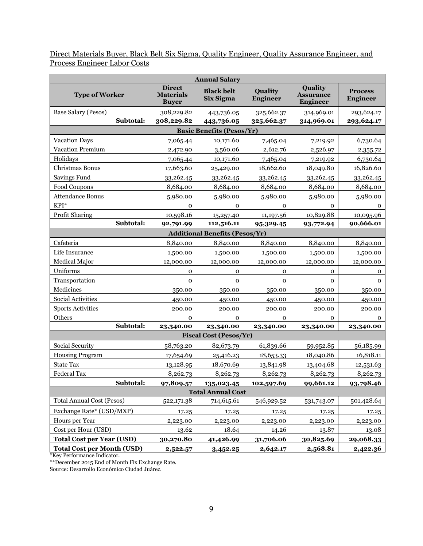Direct Materials Buyer, Black Belt Six Sigma, Quality Engineer, Quality Assurance Engineer, and Process Engineer Labor Costs

|                                       |                                                   | <b>Annual Salary</b>             |                            |                                                |                                   |  |  |  |
|---------------------------------------|---------------------------------------------------|----------------------------------|----------------------------|------------------------------------------------|-----------------------------------|--|--|--|
| <b>Type of Worker</b>                 | <b>Direct</b><br><b>Materials</b><br><b>Buyer</b> | <b>Black belt</b><br>Six Sigma   | Quality<br><b>Engineer</b> | Quality<br><b>Assurance</b><br><b>Engineer</b> | <b>Process</b><br><b>Engineer</b> |  |  |  |
| <b>Base Salary (Pesos)</b>            | 308,229.82                                        | 443,736.05                       | 325,662.37                 | 314,969.01                                     | 293,624.17                        |  |  |  |
| Subtotal:                             | 308,229.82                                        | 443,736.05                       | 325,662.37                 | 314,969.01                                     | 293,624.17                        |  |  |  |
|                                       |                                                   | <b>Basic Benefits (Pesos/Yr)</b> |                            |                                                |                                   |  |  |  |
| <b>Vacation Days</b>                  | 7,065.44                                          | 10,171.60                        | 7,465.04                   | 7,219.92                                       | 6,730.64                          |  |  |  |
| Vacation Premium                      | 2,472.90                                          | 3,560.06                         | 2,612.76                   | 2,526.97                                       | 2,355.72                          |  |  |  |
| Holidays                              | 7,065.44                                          | 10,171.60                        | 7,465.04                   | 7,219.92                                       | 6,730.64                          |  |  |  |
| Christmas Bonus                       | 17,663.60                                         | 25,429.00                        | 18,662.60                  | 18,049.80                                      | 16,826.60                         |  |  |  |
| Savings Fund                          | 33,262.45                                         | 33,262.45                        | 33,262.45                  | 33,262.45                                      | 33,262.45                         |  |  |  |
| Food Coupons                          | 8,684.00                                          | 8,684.00                         | 8,684.00                   | 8,684.00                                       | 8,684.00                          |  |  |  |
| <b>Attendance Bonus</b>               | 5,980.00                                          | 5,980.00                         | 5,980.00                   | 5,980.00                                       | 5,980.00                          |  |  |  |
| KPI*                                  | 0                                                 | $\mathbf{O}$                     | 0                          | 0                                              | 0                                 |  |  |  |
| Profit Sharing                        | 10,598.16                                         | 15,257.40                        | 11, 197.56                 | 10,829.88                                      | 10,095.96                         |  |  |  |
| Subtotal:                             | 92,791.99                                         | 112,516.11                       | 95,329.45                  | 93,772.94                                      | 90,666.01                         |  |  |  |
| <b>Additional Benefits (Pesos/Yr)</b> |                                                   |                                  |                            |                                                |                                   |  |  |  |
| Cafeteria                             | 8,840.00                                          | 8,840.00                         | 8,840.00                   | 8,840.00                                       | 8,840.00                          |  |  |  |
| Life Insurance                        | 1,500.00                                          | 1,500.00                         | 1,500.00                   | 1,500.00                                       | 1,500.00                          |  |  |  |
| Medical Major                         | 12,000.00                                         | 12,000.00                        | 12,000.00                  | 12,000.00                                      | 12,000.00                         |  |  |  |
| Uniforms                              | $\mathbf 0$                                       | $\mathbf{O}$                     | $\mathbf 0$                | $\mathbf{O}$                                   | 0                                 |  |  |  |
| Transportation                        | $\mathbf 0$                                       | 0                                | 0                          | 0                                              | $\mathbf 0$                       |  |  |  |
| Medicines                             | 350.00                                            | 350.00                           | 350.00                     | 350.00                                         | 350.00                            |  |  |  |
| Social Activities                     | 450.00                                            | 450.00                           | 450.00                     | 450.00                                         | 450.00                            |  |  |  |
| <b>Sports Activities</b>              | 200.00                                            | 200.00                           | 200.00                     | 200.00                                         | 200.00                            |  |  |  |
| Others                                | $\mathbf{O}$                                      | $\mathbf{O}$                     | 0                          | 0                                              | 0                                 |  |  |  |
| Subtotal:                             | 23,340.00                                         | 23,340.00                        | 23,340.00                  | 23,340.00                                      | 23,340.00                         |  |  |  |
|                                       |                                                   | <b>Fiscal Cost (Pesos/Yr)</b>    |                            |                                                |                                   |  |  |  |
| Social Security                       | 58,763.20                                         | 82,673.79                        | 61,839.66                  | 59,952.85                                      | 56,185.99                         |  |  |  |
| <b>Housing Program</b>                | 17,654.69                                         | 25,416.23                        | 18,653.33                  | 18,040.86                                      | 16,818.11                         |  |  |  |
| <b>State Tax</b>                      | 13,128.95                                         | 18,670.69                        | 13,841.98                  | 13,404.68                                      | 12,531.63                         |  |  |  |
| <b>Federal Tax</b>                    | 8,262.73                                          | 8,262.73                         | 8,262.73                   | 8,262.73                                       | 8,262.73                          |  |  |  |
| Subtotal:                             | 97,809.57                                         | 135,023.45                       | 102,597.69                 | 99,661.12                                      | 93,798.46                         |  |  |  |
|                                       |                                                   | <b>Total Annual Cost</b>         |                            |                                                |                                   |  |  |  |
| <b>Total Annual Cost (Pesos)</b>      | 522,171.38                                        | 714,615.61                       | 546,929.52                 | 531,743.07                                     | 501,428.64                        |  |  |  |
| Exchange Rate* (USD/MXP)              | 17.25                                             | 17.25                            | 17.25                      | 17.25                                          | 17.25                             |  |  |  |
| Hours per Year                        | 2,223.00                                          | 2,223.00                         | 2,223.00                   | 2,223.00                                       | 2,223.00                          |  |  |  |
| Cost per Hour (USD)                   | 13.62                                             | 18.64                            | 14.26                      | 13.87                                          | 13.08                             |  |  |  |
| <b>Total Cost per Year (USD)</b>      | 30,270.80                                         | 41,426.99                        | 31,706.06                  | 30,825.69                                      | 29,068.33                         |  |  |  |
| <b>Total Cost per Month (USD)</b>     | 2,522.57                                          | 3,452.25                         | 2,642.17                   | 2,568.81                                       | 2,422.36                          |  |  |  |

\*Key Performance Indicator.

\*\*December 2015 End of Month Fix Exchange Rate.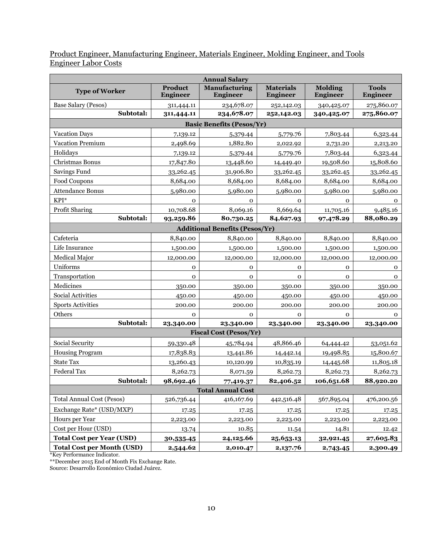## Product Engineer, Manufacturing Engineer, Materials Engineer, Molding Engineer, and Tools Engineer Labor Costs

|                                   |                                   | <b>Annual Salary</b>                  |                                     |                                   |                                 |
|-----------------------------------|-----------------------------------|---------------------------------------|-------------------------------------|-----------------------------------|---------------------------------|
| <b>Type of Worker</b>             | <b>Product</b><br><b>Engineer</b> | Manufacturing<br><b>Engineer</b>      | <b>Materials</b><br><b>Engineer</b> | <b>Molding</b><br><b>Engineer</b> | <b>Tools</b><br><b>Engineer</b> |
| Base Salary (Pesos)               | 311,444.11                        | 234,678.07                            | 252,142.03                          | 340,425.07                        | 275,860.07                      |
| Subtotal:                         | 311,444.11                        | 234,678.07                            | 252,142.03                          | 340,425.07                        | 275,860.07                      |
|                                   | <b>Basic Benefits (Pesos/Yr)</b>  |                                       |                                     |                                   |                                 |
| <b>Vacation Days</b>              | 7,139.12                          | 5,379.44                              | 5,779.76                            | 7,803.44                          | 6,323.44                        |
| <b>Vacation Premium</b>           | 2,498.69                          | 1,882.80                              | 2,022.92                            | 2,731.20                          | 2,213.20                        |
| Holidays                          | 7,139.12                          | 5,379.44                              | 5,779.76                            | 7,803.44                          | 6,323.44                        |
| Christmas Bonus                   | 17,847.80                         | 13,448.60                             | 14,449.40                           | 19,508.60                         | 15,808.60                       |
| Savings Fund                      | 33,262.45                         | 31,906.80                             | 33,262.45                           | 33,262.45                         | 33,262.45                       |
| Food Coupons                      | 8,684.00                          | 8,684.00                              | 8,684.00                            | 8,684.00                          | 8,684.00                        |
| <b>Attendance Bonus</b>           | 5,980.00                          | 5,980.00                              | 5,980.00                            | 5,980.00                          | 5,980.00                        |
| KPI*                              | $\mathbf 0$                       | $\mathbf{O}$                          | $\mathbf{O}$                        | 0                                 | $\Omega$                        |
| Profit Sharing                    | 10,708.68                         | 8,069.16                              | 8,669.64                            | 11,705.16                         | 9,485.16                        |
| Subtotal:                         | 93,259.86                         | 80,730.25                             | 84,627.93                           | 97,478.29                         | 88,080.29                       |
|                                   |                                   | <b>Additional Benefits (Pesos/Yr)</b> |                                     |                                   |                                 |
| Cafeteria                         | 8,840.00                          | 8,840.00                              | 8,840.00                            | 8,840.00                          | 8,840.00                        |
| Life Insurance                    | 1,500.00                          | 1,500.00                              | 1,500.00                            | 1,500.00                          | 1,500.00                        |
| Medical Major                     | 12,000.00                         | 12,000.00                             | 12,000.00                           | 12,000.00                         | 12,000.00                       |
| Uniforms                          | $\mathbf 0$                       | $\mathbf{0}$                          | $\mathbf{O}$                        | $\mathbf 0$                       | 0                               |
| Transportation                    | $\mathbf 0$                       | $\mathbf{0}$                          | $\mathbf{O}$                        | $\mathbf{O}$                      | 0                               |
| Medicines                         | 350.00                            | 350.00                                | 350.00                              | 350.00                            | 350.00                          |
| Social Activities                 | 450.00                            | 450.00                                | 450.00                              | 450.00                            | 450.00                          |
| <b>Sports Activities</b>          | 200.00                            | 200.00                                | 200.00                              | 200.00                            | 200.00                          |
| Others                            | $\mathbf 0$                       | $\mathbf 0$                           | $\mathbf 0$                         | $\mathbf 0$                       | $\mathbf 0$                     |
| Subtotal:                         | 23,340.00                         | 23,340.00                             | 23,340.00                           | 23,340.00                         | 23,340.00                       |
|                                   |                                   | <b>Fiscal Cost (Pesos/Yr)</b>         |                                     |                                   |                                 |
| Social Security                   | 59,330.48                         | 45,784.94                             | 48,866.46                           | 64,444.42                         | 53,051.62                       |
| <b>Housing Program</b>            | 17,838.83                         | 13,441.86                             | 14,442.14                           | 19,498.85                         | 15,800.67                       |
| <b>State Tax</b>                  | 13,260.43                         | 10,120.99                             | 10,835.19                           | 14,445.68                         | 11,805.18                       |
| <b>Federal Tax</b>                | 8,262.73                          | 8,071.59                              | 8,262.73                            | 8,262.73                          | 8,262.73                        |
| Subtotal:                         | 98,692.46                         | 77,419.37                             | 82,406.52                           | 106,651.68                        | 88,920.20                       |
|                                   |                                   | <b>Total Annual Cost</b>              |                                     |                                   |                                 |
| <b>Total Annual Cost (Pesos)</b>  | 526,736.44                        | 416,167.69                            | 442,516.48                          | 567,895.04                        | 476,200.56                      |
| Exchange Rate* (USD/MXP)          | 17.25                             | 17.25                                 | 17.25                               | 17.25                             | 17.25                           |
| Hours per Year                    | 2,223.00                          | 2,223.00                              | 2,223.00                            | 2,223.00                          | 2,223.00                        |
| Cost per Hour (USD)               | 13.74                             | 10.85                                 | 11.54                               | 14.81                             | 12.42                           |
| <b>Total Cost per Year (USD)</b>  | 30,535.45                         | 24,125.66                             | 25,653.13                           | 32,921.45                         | 27,605.83                       |
| <b>Total Cost per Month (USD)</b> | 2,544.62                          | 2,010.47                              | 2,137.76                            | 2,743.45                          | 2,300.49                        |

\*Key Performance Indicator.

\*\*December 2015 End of Month Fix Exchange Rate.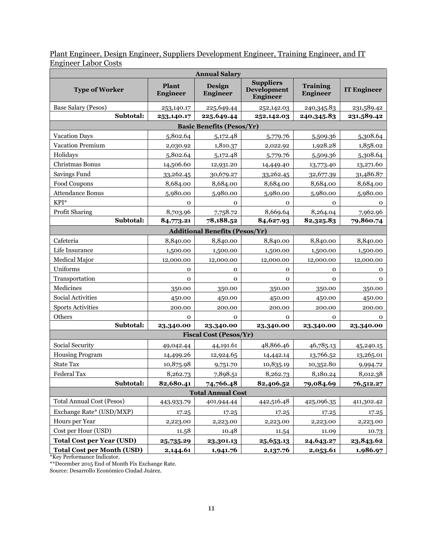| Plant Engineer, Design Engineer, Suppliers Development Engineer, Training Engineer, and IT |  |  |  |  |
|--------------------------------------------------------------------------------------------|--|--|--|--|
| <b>Engineer Labor Costs</b>                                                                |  |  |  |  |

|                                   |                                       | <b>Annual Salary</b>             |                                                           |                                    |                    |  |
|-----------------------------------|---------------------------------------|----------------------------------|-----------------------------------------------------------|------------------------------------|--------------------|--|
| <b>Type of Worker</b>             | Plant<br><b>Engineer</b>              | Design<br><b>Engineer</b>        | <b>Suppliers</b><br><b>Development</b><br><b>Engineer</b> | <b>Training</b><br><b>Engineer</b> | <b>IT Engineer</b> |  |
| Base Salary (Pesos)               | 253,140.17                            | 225,649.44                       | 252,142.03                                                | 240,345.83                         | 231,589.42         |  |
| Subtotal:                         | 253,140.17                            | 225,649.44                       | 252,142.03                                                | 240,345.83                         | 231,589.42         |  |
|                                   |                                       | <b>Basic Benefits (Pesos/Yr)</b> |                                                           |                                    |                    |  |
| <b>Vacation Days</b>              | 5,802.64                              | 5,172.48                         | 5,779.76                                                  | 5,509.36                           | 5,308.64           |  |
| <b>Vacation Premium</b>           | 2,030.92                              | 1,810.37                         | 2,022.92                                                  | 1,928.28                           | 1,858.02           |  |
| Holidays                          | 5,802.64                              | 5,172.48                         | 5,779.76                                                  | 5,509.36                           | 5,308.64           |  |
| Christmas Bonus                   | 14,506.60                             | 12,931.20                        | 14,449.40                                                 | 13,773.40                          | 13,271.60          |  |
| Savings Fund                      | 33,262.45                             | 30,679.27                        | 33,262.45                                                 | 32,677.39                          | 31,486.87          |  |
| Food Coupons                      | 8,684.00                              | 8,684.00                         | 8,684.00                                                  | 8,684.00                           | 8,684.00           |  |
| <b>Attendance Bonus</b>           | 5,980.00                              | 5,980.00                         | 5,980.00                                                  | 5,980.00                           | 5,980.00           |  |
| $KPI^*$                           | $\mathbf{O}$                          | $\mathbf{O}$                     | $\mathbf{O}$                                              | $\mathbf 0$                        | $\mathbf{o}$       |  |
| Profit Sharing                    | 8,703.96                              | 7,758.72                         | 8,669.64                                                  | 8,264.04                           | 7,962.96           |  |
| Subtotal:                         | 84,773.21                             | 78,188.52                        | 84,627.93                                                 | 82,325.83                          | 79,860.74          |  |
|                                   | <b>Additional Benefits (Pesos/Yr)</b> |                                  |                                                           |                                    |                    |  |
| Cafeteria                         | 8,840.00                              | 8,840.00                         | 8,840.00                                                  | 8,840.00                           | 8,840.00           |  |
| Life Insurance                    | 1,500.00                              | 1,500.00                         | 1,500.00                                                  | 1,500.00                           | 1,500.00           |  |
| <b>Medical Major</b>              | 12,000.00                             | 12,000.00                        | 12,000.00                                                 | 12,000.00                          | 12,000.00          |  |
| Uniforms                          | $\mathbf{O}$                          | $\mathbf 0$                      | $\mathbf 0$                                               | 0                                  | 0                  |  |
| Transportation                    | $\mathbf 0$                           | $\mathbf 0$                      | $\mathbf 0$                                               | $\mathbf{O}$                       | 0                  |  |
| Medicines                         | 350.00                                | 350.00                           | 350.00                                                    | 350.00                             | 350.00             |  |
| Social Activities                 | 450.00                                | 450.00                           | 450.00                                                    | 450.00                             | 450.00             |  |
| <b>Sports Activities</b>          | 200.00                                | 200.00                           | 200.00                                                    | 200.00                             | 200.00             |  |
| Others                            | 0                                     | $\mathbf 0$                      | 0                                                         | 0                                  | 0                  |  |
| Subtotal:                         | 23,340.00                             | 23,340.00                        | 23,340.00                                                 | 23,340.00                          | 23,340.00          |  |
|                                   |                                       | <b>Fiscal Cost (Pesos/Yr)</b>    |                                                           |                                    |                    |  |
| Social Security                   | 49,042.44                             | 44,191.61                        | 48,866.46                                                 | 46,785.13                          | 45,240.15          |  |
| <b>Housing Program</b>            | 14,499.26                             | 12,924.65                        | 14,442.14                                                 | 13,766.52                          | 13,265.01          |  |
| <b>State Tax</b>                  | 10,875.98                             | 9,751.70                         | 10,835.19                                                 | 10,352.80                          | 9,994.72           |  |
| <b>Federal Tax</b>                | 8,262.73                              | 7,898.51                         | 8,262.73                                                  | 8,180.24                           | 8,012.38           |  |
| Subtotal:                         | 82,680.41                             | 74,766.48                        | 82,406.52                                                 | 79,084.69                          | 76,512.27          |  |
|                                   | <b>Total Annual Cost</b>              |                                  |                                                           |                                    |                    |  |
| <b>Total Annual Cost (Pesos)</b>  | 443,933.79                            | 401,944.44                       | 442,516.48                                                | 425,096.35                         | 411,302.42         |  |
| Exchange Rate* (USD/MXP)          | 17.25                                 | 17.25                            | 17.25                                                     | 17.25                              | 17.25              |  |
| Hours per Year                    | 2,223.00                              | 2,223.00                         | 2,223.00                                                  | 2,223.00                           | 2,223.00           |  |
| Cost per Hour (USD)               | 11.58                                 | 10.48                            | 11.54                                                     | 11.09                              | 10.73              |  |
| <b>Total Cost per Year (USD)</b>  | 25,735.29                             | 23,301.13                        | 25,653.13                                                 | 24,643.27                          | 23,843.62          |  |
| <b>Total Cost per Month (USD)</b> | 2,144.61                              | 1,941.76                         | 2,137.76                                                  | 2,053.61                           | 1,986.97           |  |

\*Key Performance Indicator.

\*\*December 2015 End of Month Fix Exchange Rate.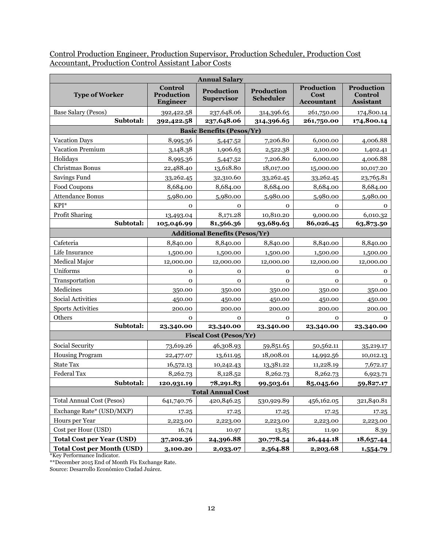Control Production Engineer, Production Supervisor, Production Scheduler, Production Cost Accountant, Production Control Assistant Labor Costs

| <b>Annual Salary</b>              |                                                 |                                        |                                |                                         |                                           |
|-----------------------------------|-------------------------------------------------|----------------------------------------|--------------------------------|-----------------------------------------|-------------------------------------------|
| <b>Type of Worker</b>             | <b>Control</b><br>Production<br><b>Engineer</b> | <b>Production</b><br><b>Supervisor</b> | Production<br><b>Scheduler</b> | Production<br>Cost<br><b>Accountant</b> | Production<br>Control<br><b>Assistant</b> |
| Base Salary (Pesos)               | 392,422.58                                      | 237,648.06                             | 314,396.65                     | 261,750.00                              | 174,800.14                                |
| Subtotal:                         | 392,422.58                                      | 237,648.06                             | 314,396.65                     | 261,750.00                              | 174,800.14                                |
|                                   |                                                 | <b>Basic Benefits (Pesos/Yr)</b>       |                                |                                         |                                           |
| <b>Vacation Days</b>              | 8,995.36                                        | 5,447.52                               | 7,206.80                       | 6,000.00                                | 4,006.88                                  |
| <b>Vacation Premium</b>           | 3,148.38                                        | 1,906.63                               | 2,522.38                       | 2,100.00                                | 1,402.41                                  |
| Holidays                          | 8,995.36                                        | 5,447.52                               | 7,206.80                       | 6,000.00                                | 4,006.88                                  |
| Christmas Bonus                   | 22,488.40                                       | 13,618.80                              | 18,017.00                      | 15,000.00                               | 10,017.20                                 |
| Savings Fund                      | 33,262.45                                       | 32,310.60                              | 33,262.45                      | 33,262.45                               | 23,765.81                                 |
| Food Coupons                      | 8,684.00                                        | 8,684.00                               | 8,684.00                       | 8,684.00                                | 8,684.00                                  |
| <b>Attendance Bonus</b>           | 5,980.00                                        | 5,980.00                               | 5,980.00                       | 5,980.00                                | 5,980.00                                  |
| KPI*                              | $\mathbf 0$                                     | $\mathbf 0$                            | $\mathbf{O}$                   | $\mathbf 0$                             | $\mathbf 0$                               |
| Profit Sharing                    | 13,493.04                                       | 8,171.28                               | 10,810.20                      | 9,000.00                                | 6,010.32                                  |
| Subtotal:                         | 105,046.99                                      | 81,566.36                              | 93,689.63                      | 86,026.45                               | 63,873.50                                 |
|                                   |                                                 | <b>Additional Benefits (Pesos/Yr)</b>  |                                |                                         |                                           |
| Cafeteria                         | 8,840.00                                        | 8,840.00                               | 8,840.00                       | 8,840.00                                | 8,840.00                                  |
| Life Insurance                    | 1,500.00                                        | 1,500.00                               | 1,500.00                       | 1,500.00                                | 1,500.00                                  |
| Medical Major                     | 12,000.00                                       | 12,000.00                              | 12,000.00                      | 12,000.00                               | 12,000.00                                 |
| Uniforms                          | $\mathbf 0$                                     | $\mathbf 0$                            | $\mathbf{0}$                   | $\mathbf 0$                             | 0                                         |
| Transportation                    | $\mathbf 0$                                     | $\mathbf 0$                            | $\mathbf{O}$                   | $\mathbf 0$                             | $\mathbf{0}$                              |
| Medicines                         | 350.00                                          | 350.00                                 | 350.00                         | 350.00                                  | 350.00                                    |
| Social Activities                 | 450.00                                          | 450.00                                 | 450.00                         | 450.00                                  | 450.00                                    |
| <b>Sports Activities</b>          | 200.00                                          | 200.00                                 | 200.00                         | 200.00                                  | 200.00                                    |
| Others                            | $\mathbf{O}$                                    | $\mathbf{O}$                           | $\mathbf{O}$                   | $\mathbf 0$                             | $\mathbf{O}$                              |
| Subtotal:                         | 23,340.00                                       | 23,340.00                              | 23,340.00                      | 23,340.00                               | 23,340.00                                 |
|                                   |                                                 | <b>Fiscal Cost (Pesos/Yr)</b>          |                                |                                         |                                           |
| Social Security                   | 73,619.26                                       | 46,308.93                              | 59,851.65                      | 50,562.11                               | 35,219.17                                 |
| <b>Housing Program</b>            | 22,477.07                                       | 13,611.95                              | 18,008.01                      | 14,992.56                               | 10,012.13                                 |
| <b>State Tax</b>                  | 16,572.13                                       | 10,242.43                              | 13,381.22                      | 11,228.19                               | 7,672.17                                  |
| <b>Federal Tax</b>                | 8,262.73                                        | 8,128.52                               | 8,262.73                       | 8,262.73                                | 6,923.71                                  |
| Subtotal:                         | 120,931.19                                      | 78,291.83                              | 99,503.61                      | 85,045.60                               | 59,827.17                                 |
|                                   |                                                 | <b>Total Annual Cost</b>               |                                |                                         |                                           |
| <b>Total Annual Cost (Pesos)</b>  | 641,740.76                                      | 420,846.25                             | 530,929.89                     | 456,162.05                              | 321,840.81                                |
| Exchange Rate* (USD/MXP)          | 17.25                                           | 17.25                                  | 17.25                          | 17.25                                   | 17.25                                     |
| Hours per Year                    | 2,223.00                                        | 2,223.00                               | 2,223.00                       | 2,223.00                                | 2,223.00                                  |
| Cost per Hour (USD)               | 16.74                                           | 10.97                                  | 13.85                          | 11.90                                   | 8.39                                      |
| <b>Total Cost per Year (USD)</b>  | 37,202.36                                       | 24,396.88                              | 30,778.54                      | 26,444.18                               | 18,657.44                                 |
| <b>Total Cost per Month (USD)</b> | 3,100.20                                        | 2,033.07                               | 2,564.88                       | 2,203.68                                | 1,554.79                                  |

\*Key Performance Indicator.

\*\*December 2015 End of Month Fix Exchange Rate.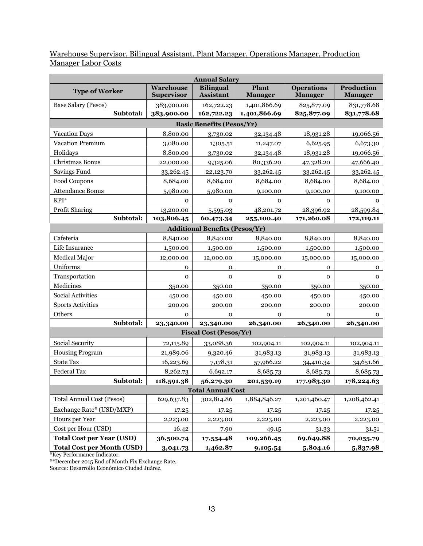### Warehouse Supervisor, Bilingual Assistant, Plant Manager, Operations Manager, Production Manager Labor Costs

|                                   |                                       | <b>Annual Salary</b>                  |                         |                                     |                                     |
|-----------------------------------|---------------------------------------|---------------------------------------|-------------------------|-------------------------------------|-------------------------------------|
| <b>Type of Worker</b>             | <b>Warehouse</b><br><b>Supervisor</b> | <b>Bilingual</b><br><b>Assistant</b>  | Plant<br><b>Manager</b> | <b>Operations</b><br><b>Manager</b> | <b>Production</b><br><b>Manager</b> |
| Base Salary (Pesos)               | 383,900.00                            | 162,722.23                            | 1,401,866.69            | 825,877.09                          | 831,778.68                          |
| Subtotal:                         | 383,900.00                            | 162,722.23                            | 1,401,866.69            | 825,877.09                          | 831,778.68                          |
|                                   |                                       | <b>Basic Benefits (Pesos/Yr)</b>      |                         |                                     |                                     |
| <b>Vacation Days</b>              | 8,800.00                              | 3,730.02                              | 32,134.48               | 18,931.28                           | 19,066.56                           |
| Vacation Premium                  | 3,080.00                              | 1,305.51                              | 11,247.07               | 6,625.95                            | 6,673.30                            |
| Holidays                          | 8,800.00                              | 3,730.02                              | 32,134.48               | 18,931.28                           | 19,066.56                           |
| Christmas Bonus                   | 22,000.00                             | 9,325.06                              | 80,336.20               | 47,328.20                           | 47,666.40                           |
| Savings Fund                      | 33,262.45                             | 22,123.70                             | 33,262.45               | 33,262.45                           | 33,262.45                           |
| Food Coupons                      | 8,684.00                              | 8,684.00                              | 8,684.00                | 8,684.00                            | 8,684.00                            |
| <b>Attendance Bonus</b>           | 5,980.00                              | 5,980.00                              | 9,100.00                | 9,100.00                            | 9,100.00                            |
| KPI*                              | $\mathbf{O}$                          | $\mathbf{0}$                          | $\mathbf{O}$            | $\mathbf{0}$                        | $\mathbf 0$                         |
| Profit Sharing                    | 13,200.00                             | 5,595.03                              | 48,201.72               | 28,396.92                           | 28,599.84                           |
| Subtotal:                         | 103,806.45                            | 60,473.34                             | 255,100.40              | 171,260.08                          | 172,119.11                          |
|                                   |                                       | <b>Additional Benefits (Pesos/Yr)</b> |                         |                                     |                                     |
| Cafeteria                         | 8,840.00                              | 8,840.00                              | 8,840.00                | 8,840.00                            | 8,840.00                            |
| Life Insurance                    | 1,500.00                              | 1,500.00                              | 1,500.00                | 1,500.00                            | 1,500.00                            |
| Medical Major                     | 12,000.00                             | 12,000.00                             | 15,000.00               | 15,000.00                           | 15,000.00                           |
| Uniforms                          | $\mathbf{O}$                          | 0                                     | O                       | $\mathbf 0$                         | 0                                   |
| Transportation                    | $\mathbf 0$                           | $\mathbf 0$                           | $\mathbf 0$             | $\mathbf 0$                         | $\mathbf 0$                         |
| Medicines                         | 350.00                                | 350.00                                | 350.00                  | 350.00                              | 350.00                              |
| Social Activities                 | 450.00                                | 450.00                                | 450.00                  | 450.00                              | 450.00                              |
| <b>Sports Activities</b>          | 200.00                                | 200.00                                | 200.00                  | 200.00                              | 200.00                              |
| Others                            | $\mathbf 0$                           | $\mathbf 0$                           | 0                       | 0                                   | $\mathbf 0$                         |
| Subtotal:                         | 23,340.00                             | 23,340.00                             | 26,340.00               | 26,340.00                           | 26,340.00                           |
|                                   |                                       | <b>Fiscal Cost (Pesos/Yr)</b>         |                         |                                     |                                     |
| Social Security                   | 72,115.89                             | 33,088.36                             | 102,904.11              | 102,904.11                          | 102,904.11                          |
| <b>Housing Program</b>            | 21,989.06                             | 9,320.46                              | 31,983.13               | 31,983.13                           | 31,983.13                           |
| <b>State Tax</b>                  | 16,223.69                             | 7,178.31                              | 57,966.22               | 34,410.34                           | 34,651.66                           |
| Federal Tax                       | 8,262.73                              | 6,692.17                              | 8,685.73                | 8,685.73                            | 8,685.73                            |
| Subtotal:                         | 118,591.38                            | 56,279.30                             | 201,539.19              | 177,983.30                          | 178,224.63                          |
|                                   |                                       | <b>Total Annual Cost</b>              |                         |                                     |                                     |
| <b>Total Annual Cost (Pesos)</b>  | 629,637.83                            | 302,814.86                            | 1,884,846.27            | 1,201,460.47                        | 1,208,462.41                        |
| Exchange Rate* (USD/MXP)          | 17.25                                 | 17.25                                 | 17.25                   | 17.25                               | 17.25                               |
| Hours per Year                    | 2,223.00                              | 2,223.00                              | 2,223.00                | 2,223.00                            | 2,223.00                            |
| Cost per Hour (USD)               | 16.42                                 | 7.90                                  | 49.15                   | 31.33                               | 31.51                               |
| <b>Total Cost per Year (USD)</b>  | 36,500.74                             | 17,554.48                             | 109,266.45              | 69,649.88                           | 70,055.79                           |
| <b>Total Cost per Month (USD)</b> | 3,041.73                              | 1,462.87                              | 9,105.54                | 5,804.16                            | 5,837.98                            |

\*Key Performance Indicator.

\*\*December 2015 End of Month Fix Exchange Rate.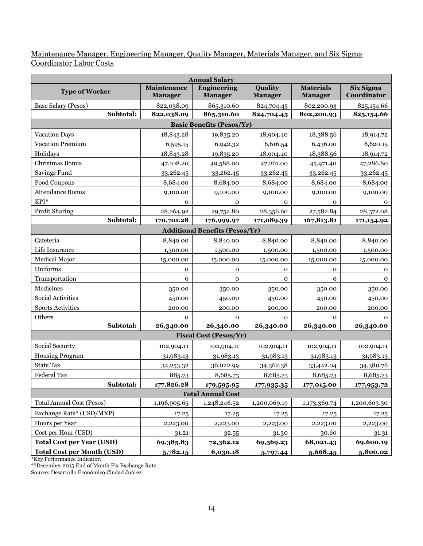### Maintenance Manager, Engineering Manager, Quality Manager, Materials Manager, and Six Sigma Coordinator Labor Costs

|                                   |                                      | <b>Annual Salary</b>                  |                           |                                    |                          |
|-----------------------------------|--------------------------------------|---------------------------------------|---------------------------|------------------------------------|--------------------------|
| <b>Type of Worker</b>             | <b>Maintenance</b><br><b>Manager</b> | <b>Engineering</b><br><b>Manager</b>  | Quality<br><b>Manager</b> | <b>Materials</b><br><b>Manager</b> | Six Sigma<br>Coordinator |
| Base Salary (Pesos)               | 822,038.09                           | 865,310.60                            | 824,704.45                | 802,200.93                         | 825,154.66               |
| Subtotal:                         | 822,038.09                           | 865,310.60                            | 824,704.45                | 802,200.93                         | 825,154.66               |
|                                   |                                      | <b>Basic Benefits (Pesos/Yr)</b>      |                           |                                    |                          |
| <b>Vacation Days</b>              | 18,843.28                            | 19,835.20                             | 18,904.40                 | 18,388.56                          | 18,914.72                |
| Vacation Premium                  | 6,595.15                             | 6,942.32                              | 6,616.54                  | 6,436.00                           | 6,620.15                 |
| Holidays                          | 18,843.28                            | 19,835.20                             | 18,904.40                 | 18,388.56                          | 18,914.72                |
| Christmas Bonus                   | 47,108.20                            | 49,588.00                             | 47,261.00                 | 45,971.40                          | 47,286.80                |
| Savings Fund                      | 33,262.45                            | 33,262.45                             | 33,262.45                 | 33,262.45                          | 33,262.45                |
| Food Coupons                      | 8,684.00                             | 8,684.00                              | 8,684.00                  | 8,684.00                           | 8,684.00                 |
| Attendance Bonus                  | 9,100.00                             | 9,100.00                              | 9,100.00                  | 9,100.00                           | 9,100.00                 |
| KPI*                              | $\mathbf 0$                          | $\mathbf 0$                           | $\mathbf{O}$              | 0                                  | $\mathbf 0$              |
| Profit Sharing                    | 28,264.92                            | 29,752.80                             | 28,356.60                 | 27,582.84                          | 28,372.08                |
| Subtotal:                         | 170,701.28                           | 176,999.97                            | 171,089.39                | 167,813.81                         | 171,154.92               |
|                                   |                                      | <b>Additional Benefits (Pesos/Yr)</b> |                           |                                    |                          |
| Cafeteria                         | 8,840.00                             | 8,840.00                              | 8,840.00                  | 8,840.00                           | 8,840.00                 |
| Life Insurance                    | 1,500.00                             | 1,500.00                              | 1,500.00                  | 1,500.00                           | 1,500.00                 |
| Medical Major                     | 15,000.00                            | 15,000.00                             | 15,000.00                 | 15,000.00                          | 15,000.00                |
| Uniforms                          | 0                                    | $\mathbf 0$                           | $\mathbf 0$               | $\mathbf 0$                        | $\mathbf 0$              |
| Transportation                    | $\mathbf{0}$                         | $\mathbf{O}$                          | $\mathbf{O}$              | $\mathbf{O}$                       | $\mathbf 0$              |
| Medicines                         | 350.00                               | 350.00                                | 350.00                    | 350.00                             | 350.00                   |
| Social Activities                 | 450.00                               | 450.00                                | 450.00                    | 450.00                             | 450.00                   |
| <b>Sports Activities</b>          | 200.00                               | 200.00                                | 200.00                    | 200.00                             | 200.00                   |
| Others                            | $\mathbf{0}$                         | $\mathbf{0}$                          | $\mathbf{0}$              | 0                                  | 0                        |
| Subtotal:                         | 26,340.00                            | 26,340.00                             | 26,340.00                 | 26,340.00                          | 26,340.00                |
|                                   |                                      | <b>Fiscal Cost (Pesos/Yr)</b>         |                           |                                    |                          |
| Social Security                   | 102,904.11                           | 102,904.11                            | 102,904.11                | 102,904.11                         | 102,904.11               |
| <b>Housing Program</b>            | 31,983.13                            | 31,983.13                             | 31,983.13                 | 31,983.13                          | 31,983.13                |
| <b>State Tax</b>                  | 34,253.32                            | 36,022.99                             | 34,362.38                 | 33,442.04                          | 34,380.76                |
| <b>Federal Tax</b>                | 885.73                               | 8,685.73                              | 8,685.73                  | 8,685.73                           | 8,685.73                 |
| Subtotal:                         | 177,826.28                           | 179,595.95                            | 177,935.35                | 177,015.00                         | 177,953.72               |
|                                   |                                      | <b>Total Annual Cost</b>              |                           |                                    |                          |
| <b>Total Annual Cost (Pesos)</b>  | 1,196,905.65                         | 1,248,246.52                          | 1,200,069.19              | 1,173,369.74                       | 1,200,603.30             |
| Exchange Rate* (USD/MXP)          | 17.25                                | 17.25                                 | 17.25                     | 17.25                              | 17.25                    |
| Hours per Year                    | 2,223.00                             | 2,223.00                              | 2,223.00                  | 2,223.00                           | 2,223.00                 |
| Cost per Hour (USD)               | 31.21                                | 32.55                                 | 31.30                     | 30.60                              | 31.31                    |
| <b>Total Cost per Year (USD)</b>  | 69,385.83                            | 72,362.12                             | 69,569.23                 | 68,021.43                          | 69,600.19                |
| <b>Total Cost per Month (USD)</b> | 5,782.15                             | 6,030.18                              | 5,797.44                  | 5,668.45                           | 5,800.02                 |

\*Key Performance Indicator.

\*\*December 2015 End of Month Fix Exchange Rate.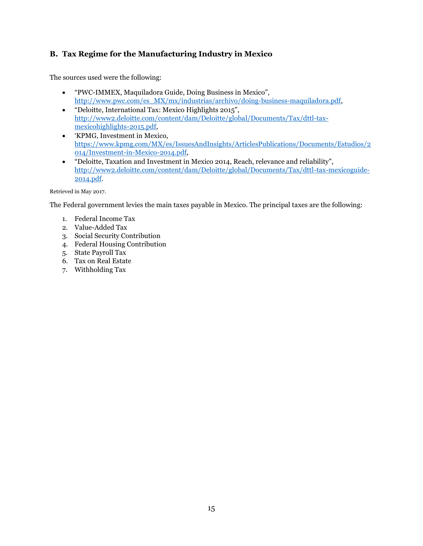### <span id="page-16-0"></span>**B. Tax Regime for the Manufacturing Industry in Mexico**

The sources used were the following:

- "PWC-IMMEX, Maquiladora Guide, Doing Business in Mexico", [http://www.pwc.com/es\\_MX/mx/industrias/archivo/doing-business-maquiladora.pdf,](http://www.pwc.com/es_MX/mx/industrias/archivo/doing-business-maquiladora.pdf)
- "Deloitte, International Tax: Mexico Highlights 2015", [http://www2.deloitte.com/content/dam/Deloitte/global/Documents/Tax/dttl-tax](http://www2.deloitte.com/content/dam/Deloitte/global/Documents/Tax/dttl-tax-mexicohighlights-2015.pdf)[mexicohighlights-2015.pdf,](http://www2.deloitte.com/content/dam/Deloitte/global/Documents/Tax/dttl-tax-mexicohighlights-2015.pdf)
- 'KPMG, Investment in Mexico, [https://www.kpmg.com/MX/es/IssuesAndInsights/ArticlesPublications/Documents/Estudios/2](https://www.kpmg.com/MX/es/IssuesAndInsights/ArticlesPublications/Documents/Estudios/2014/Investment-in-Mexico-2014.pdf) [014/Investment-in-Mexico-2014.pdf,](https://www.kpmg.com/MX/es/IssuesAndInsights/ArticlesPublications/Documents/Estudios/2014/Investment-in-Mexico-2014.pdf)
- "Deloitte, Taxation and Investment in Mexico 2014, Reach, relevance and reliability", [http://www2.deloitte.com/content/dam/Deloitte/global/Documents/Tax/dttl-tax-mexicoguide-](http://www2.deloitte.com/content/dam/Deloitte/global/Documents/Tax/dttl-tax-mexicoguide-2014.pdf)[2014.pdf.](http://www2.deloitte.com/content/dam/Deloitte/global/Documents/Tax/dttl-tax-mexicoguide-2014.pdf)

Retrieved in May 2017.

The Federal government levies the main taxes payable in Mexico. The principal taxes are the following:

- 1. Federal Income Tax
- 2. Value-Added Tax
- 3. Social Security Contribution
- 4. Federal Housing Contribution
- 5. State Payroll Tax
- 6. Tax on Real Estate
- 7. Withholding Tax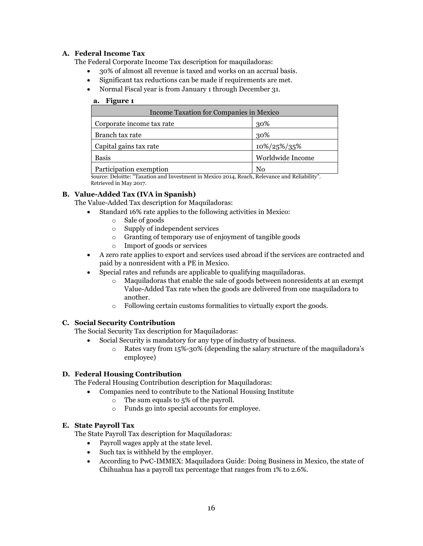#### **A. Federal Income Tax**

The Federal Corporate Income Tax description for maquiladoras:

- 30% of almost all revenue is taxed and works on an accrual basis.
- Significant tax reductions can be made if requirements are met.
- Normal Fiscal year is from January 1 through December 31.

#### **a. Figure 1**

| Income Taxation for Companies in Mexico |                  |  |  |
|-----------------------------------------|------------------|--|--|
| Corporate income tax rate               | 30%              |  |  |
| Branch tax rate                         | 30%              |  |  |
| Capital gains tax rate                  | 10%/25%/35%      |  |  |
| <b>Basis</b>                            | Worldwide Income |  |  |
| Participation exemption                 |                  |  |  |

Source: Deloitte: "Taxation and Investment in Mexico 2014, Reach, Relevance and Reliability". Retrieved in May 2017.

#### **B. Value-Added Tax (IVA in Spanish)**

The Value-Added Tax description for Maquiladoras:

- Standard 16% rate applies to the following activities in Mexico:
	- o Sale of goods
	- o Supply of independent services
	- o Granting of temporary use of enjoyment of tangible goods
	- o Import of goods or services
- A zero rate applies to export and services used abroad if the services are contracted and paid by a nonresident with a PE in Mexico.
- Special rates and refunds are applicable to qualifying maquiladoras.
	- o Maquiladoras that enable the sale of goods between nonresidents at an exempt Value-Added Tax rate when the goods are delivered from one maquiladora to another.
	- o Following certain customs formalities to virtually export the goods.

#### **C. Social Security Contribution**

The Social Security Tax description for Maquiladoras:

- Social Security is mandatory for any type of industry of business.
	- o Rates vary from 15%-30% (depending the salary structure of the maquiladora's employee)

#### **D. Federal Housing Contribution**

The Federal Housing Contribution description for Maquiladoras:

- Companies need to contribute to the National Housing Institute
	- o The sum equals to 5% of the payroll.
	- o Funds go into special accounts for employee.

#### **E. State Payroll Tax**

The State Payroll Tax description for Maquiladoras:

- Payroll wages apply at the state level.
- Such tax is withheld by the employer.
- According to PwC-IMMEX: Maquiladora Guide: Doing Business in Mexico, the state of Chihuahua has a payroll tax percentage that ranges from 1% to 2.6%.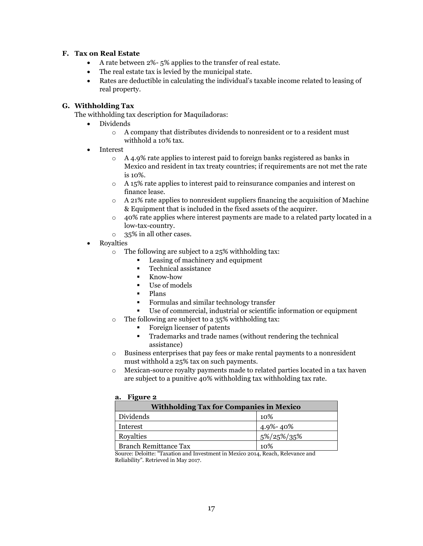#### **F. Tax on Real Estate**

- A rate between 2%- 5% applies to the transfer of real estate.
- The real estate tax is levied by the municipal state.
- Rates are deductible in calculating the individual's taxable income related to leasing of real property.

#### **G. Withholding Tax**

The withholding tax description for Maquiladoras:

- Dividends
	- o A company that distributes dividends to nonresident or to a resident must withhold a 10% tax.
- Interest
	- o A 4.9% rate applies to interest paid to foreign banks registered as banks in Mexico and resident in tax treaty countries; if requirements are not met the rate is 10%.
	- o A 15% rate applies to interest paid to reinsurance companies and interest on finance lease.
	- $\circ$  A 21% rate applies to nonresident suppliers financing the acquisition of Machine & Equipment that is included in the fixed assets of the acquirer.
	- $\circ$  40% rate applies where interest payments are made to a related party located in a low-tax-country.
	- o 35% in all other cases.
- Royalties
	- $\circ$  The following are subject to a 25% withholding tax:
		- Leasing of machinery and equipment
		- Technical assistance
		- Know-how
		- Use of models
		- Plans
		- Formulas and similar technology transfer
		- Use of commercial, industrial or scientific information or equipment
	- o The following are subject to a 35% withholding tax:
		- Foreign licenser of patents
		- Trademarks and trade names (without rendering the technical assistance)
	- o Business enterprises that pay fees or make rental payments to a nonresident must withhold a 25% tax on such payments.
	- o Mexican-source royalty payments made to related parties located in a tax haven are subject to a punitive 40% withholding tax withholding tax rate.

#### **a. Figure 2**

| <b>Withholding Tax for Companies in Mexico</b> |                  |  |  |  |
|------------------------------------------------|------------------|--|--|--|
| Dividends                                      | 10%              |  |  |  |
| Interest                                       | $4.9\%$ -40 $\%$ |  |  |  |
| Royalties                                      | 5%/25%/35%       |  |  |  |
| <b>Branch Remittance Tax</b>                   | 10%              |  |  |  |

Source: Deloitte: "Taxation and Investment in Mexico 2014, Reach, Relevance and Reliability". Retrieved in May 2017.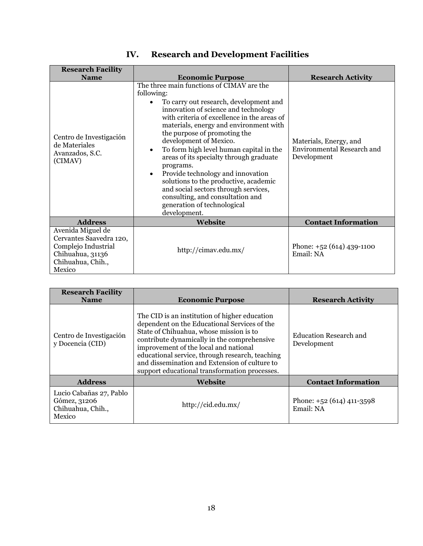<span id="page-19-0"></span>

| <b>Research Facility</b>                                                                                               |                                                                                                                                                                                                                                                                                                                                                                                                                                                                                                                                                                                                                       |                                                                     |
|------------------------------------------------------------------------------------------------------------------------|-----------------------------------------------------------------------------------------------------------------------------------------------------------------------------------------------------------------------------------------------------------------------------------------------------------------------------------------------------------------------------------------------------------------------------------------------------------------------------------------------------------------------------------------------------------------------------------------------------------------------|---------------------------------------------------------------------|
| <b>Name</b>                                                                                                            | <b>Economic Purpose</b>                                                                                                                                                                                                                                                                                                                                                                                                                                                                                                                                                                                               | <b>Research Activity</b>                                            |
| Centro de Investigación<br>de Materiales<br>Avanzados, S.C.<br>(CIMAV)                                                 | The three main functions of CIMAV are the<br>following:<br>To carry out research, development and<br>innovation of science and technology<br>with criteria of excellence in the areas of<br>materials, energy and environment with<br>the purpose of promoting the<br>development of Mexico.<br>To form high level human capital in the<br>$\bullet$<br>areas of its specialty through graduate<br>programs.<br>Provide technology and innovation<br>solutions to the productive, academic<br>and social sectors through services,<br>consulting, and consultation and<br>generation of technological<br>development. | Materials, Energy, and<br>Environmental Research and<br>Development |
| <b>Address</b>                                                                                                         | <b>Website</b>                                                                                                                                                                                                                                                                                                                                                                                                                                                                                                                                                                                                        | <b>Contact Information</b>                                          |
| Avenida Miguel de<br>Cervantes Saavedra 120,<br>Complejo Industrial<br>Chihuahua, 31136<br>Chihuahua, Chih.,<br>Mexico | http://cimav.edu.mx/                                                                                                                                                                                                                                                                                                                                                                                                                                                                                                                                                                                                  | Phone: $+52(614)439-1100$<br>Email: NA                              |

# **IV. Research and Development Facilities**

| <b>Research Facility</b><br><b>Name</b>                                | <b>Economic Purpose</b>                                                                                                                                                                                                                                                                                                                                                               | <b>Research Activity</b>               |
|------------------------------------------------------------------------|---------------------------------------------------------------------------------------------------------------------------------------------------------------------------------------------------------------------------------------------------------------------------------------------------------------------------------------------------------------------------------------|----------------------------------------|
| Centro de Investigación<br>y Docencia (CID)                            | The CID is an institution of higher education<br>dependent on the Educational Services of the<br>State of Chihuahua, whose mission is to<br>contribute dynamically in the comprehensive<br>improvement of the local and national<br>educational service, through research, teaching<br>and dissemination and Extension of culture to<br>support educational transformation processes. | Education Research and<br>Development  |
| <b>Address</b>                                                         | <b>Website</b>                                                                                                                                                                                                                                                                                                                                                                        | <b>Contact Information</b>             |
| Lucio Cabañas 27, Pablo<br>Gómez, 31206<br>Chihuahua, Chih.,<br>Mexico | http://cid.edu.mx/                                                                                                                                                                                                                                                                                                                                                                    | Phone: $+52(614)411-3598$<br>Email: NA |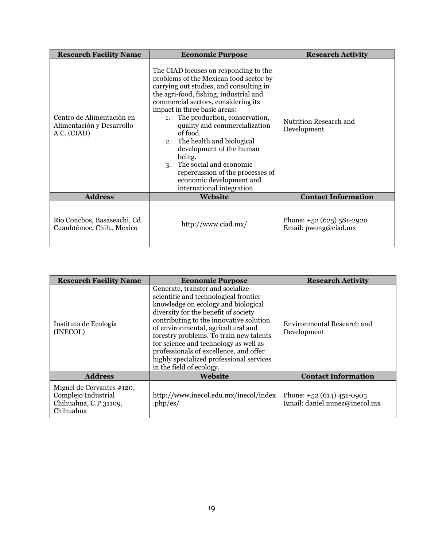| <b>Research Facility Name</b>                                         | <b>Economic Purpose</b>                                                                                                                                                                                                                                                                                                                                                                                                                                                                                                           | <b>Research Activity</b>                            |
|-----------------------------------------------------------------------|-----------------------------------------------------------------------------------------------------------------------------------------------------------------------------------------------------------------------------------------------------------------------------------------------------------------------------------------------------------------------------------------------------------------------------------------------------------------------------------------------------------------------------------|-----------------------------------------------------|
| Centro de Alimentación en<br>Alimentación y Desarrollo<br>A.C. (CIAD) | The CIAD focuses on responding to the<br>problems of the Mexican food sector by<br>carrying out studies, and consulting in<br>the agri-food, fishing, industrial and<br>commercial sectors, considering its<br>impact in three basic areas:<br>1. The production, conservation,<br>quality and commercialization<br>of food.<br>2. The health and biological<br>development of the human<br>being.<br>The social and economic<br>3.<br>repercussion of the processes of<br>economic development and<br>international integration. | Nutrition Research and<br>Development               |
| <b>Address</b>                                                        | Website                                                                                                                                                                                                                                                                                                                                                                                                                                                                                                                           | <b>Contact Information</b>                          |
| Río Conchos, Basaseachi, Cd<br>Cuauhtémoc, Chih., Mexico              | http://www.ciad.mx/                                                                                                                                                                                                                                                                                                                                                                                                                                                                                                               | Phone: $+52(625)581-2920$<br>Email: $pwong@ciad.mx$ |

| <b>Research Facility Name</b>                                                          | <b>Economic Purpose</b>                                                                                                                                                                                                                                                                                                                                                                                                                         | <b>Research Activity</b>                                   |
|----------------------------------------------------------------------------------------|-------------------------------------------------------------------------------------------------------------------------------------------------------------------------------------------------------------------------------------------------------------------------------------------------------------------------------------------------------------------------------------------------------------------------------------------------|------------------------------------------------------------|
| Instituto de Ecología<br>(INECOL)                                                      | Generate, transfer and socialize<br>scientific and technological frontier<br>knowledge on ecology and biological<br>diversity for the benefit of society<br>contributing to the innovative solution<br>of environmental, agricultural and<br>forestry problems. To train new talents<br>for science and technology as well as<br>professionals of excellence, and offer<br>highly specialized professional services<br>in the field of ecology. | Environmental Research and<br>Development                  |
| <b>Address</b>                                                                         | <b>Website</b>                                                                                                                                                                                                                                                                                                                                                                                                                                  | <b>Contact Information</b>                                 |
| Miguel de Cervantes #120,<br>Complejo Industrial<br>Chihuahua, C.P.31109,<br>Chihuahua | http://www.inecol.edu.mx/inecol/index<br>$.php/\text{es}/$                                                                                                                                                                                                                                                                                                                                                                                      | Phone: $+52(614)451-0905$<br>Email: daniel.nunez@inecol.mx |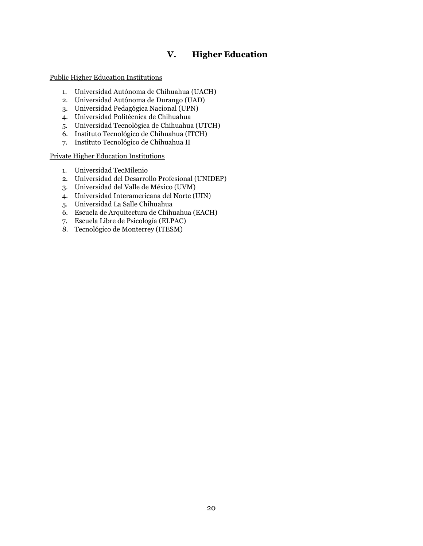## **V. Higher Education**

<span id="page-21-0"></span>Public Higher Education Institutions

- 1. Universidad Autónoma de Chihuahua (UACH)
- 2. Universidad Autónoma de Durango (UAD)
- 3. Universidad Pedagógica Nacional (UPN)
- 4. Universidad Politécnica de Chihuahua
- 5. Universidad Tecnológica de Chihuahua (UTCH)
- 6. Instituto Tecnológico de Chihuahua (ITCH)
- 7. Instituto Tecnológico de Chihuahua II

Private Higher Education Institutions

- 1. Universidad TecMilenio
- 2. Universidad del Desarrollo Profesional (UNIDEP)
- 3. Universidad del Valle de México (UVM)
- 4. Universidad Interamericana del Norte (UIN)
- 5. Universidad La Salle Chihuahua
- 6. Escuela de Arquitectura de Chihuahua (EACH)
- 7. Escuela Libre de Psicología (ELPAC)
- 8. Tecnológico de Monterrey (ITESM)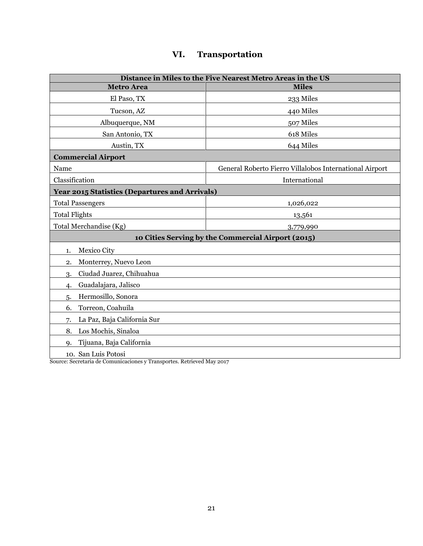# **VI. Transportation**

<span id="page-22-0"></span>

| Distance in Miles to the Five Nearest Metro Areas in the US |                                                         |  |
|-------------------------------------------------------------|---------------------------------------------------------|--|
| <b>Metro Area</b>                                           | <b>Miles</b>                                            |  |
| El Paso, TX                                                 | 233 Miles                                               |  |
| Tucson, AZ                                                  | 440 Miles                                               |  |
| Albuquerque, NM                                             | 507 Miles                                               |  |
| San Antonio, TX                                             | 618 Miles                                               |  |
| Austin, TX                                                  | 644 Miles                                               |  |
| <b>Commercial Airport</b>                                   |                                                         |  |
| Name                                                        | General Roberto Fierro Villalobos International Airport |  |
| Classification                                              | International                                           |  |
| Year 2015 Statistics (Departures and Arrivals)              |                                                         |  |
| <b>Total Passengers</b>                                     | 1,026,022                                               |  |
| <b>Total Flights</b>                                        | 13,561                                                  |  |
| Total Merchandise (Kg)                                      | 3,779,990                                               |  |
| 10 Cities Serving by the Commercial Airport (2015)          |                                                         |  |
| Mexico City<br>1.                                           |                                                         |  |
| Monterrey, Nuevo Leon<br>2.                                 |                                                         |  |
| Ciudad Juarez, Chihuahua<br>3.                              |                                                         |  |
| Guadalajara, Jalisco<br>4.                                  |                                                         |  |
| Hermosillo, Sonora<br>5.                                    |                                                         |  |
| Torreon, Coahuila<br>6.                                     |                                                         |  |
| La Paz, Baja California Sur<br>7.                           |                                                         |  |
| Los Mochis, Sinaloa<br>8.                                   |                                                         |  |
| Tijuana, Baja California<br>$Q_{\rm L}$                     |                                                         |  |
| 10. San Luis Potosi                                         |                                                         |  |

Source: Secretaria de Comunicaciones y Transportes. Retrieved May 2017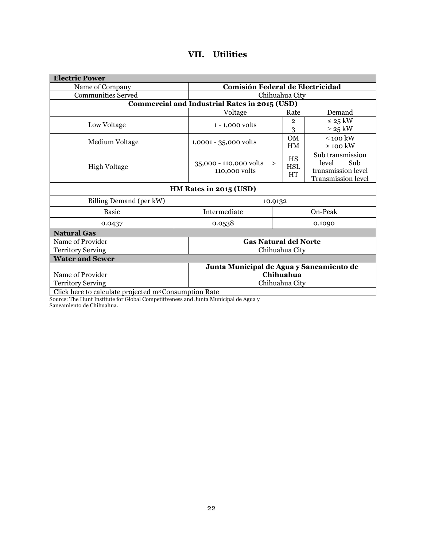<span id="page-23-0"></span>

| <b>Electric Power</b>                                             |                                                       |                                  |                                                                              |
|-------------------------------------------------------------------|-------------------------------------------------------|----------------------------------|------------------------------------------------------------------------------|
| Name of Company                                                   |                                                       | Comisión Federal de Electricidad |                                                                              |
| <b>Communities Served</b>                                         |                                                       | Chihuahua City                   |                                                                              |
|                                                                   | Commercial and Industrial Rates in 2015 (USD)         |                                  |                                                                              |
|                                                                   | Voltage                                               | Rate                             | Demand                                                                       |
| Low Voltage                                                       | $1 - 1,000$ volts                                     | $\overline{2}$<br>3              | $\leq$ 25 kW<br>$>$ 25 kW                                                    |
| Medium Voltage                                                    | 1,0001 - 35,000 volts                                 | OM<br>HM                         | $<$ 100 kW<br>$\geq$ 100 kW                                                  |
| <b>High Voltage</b>                                               | 35,000 - 110,000 volts<br>$\geq$<br>110,000 volts     | HS<br><b>HSL</b><br><b>HT</b>    | Sub transmission<br>level<br>Sub<br>transmission level<br>Transmission level |
| HM Rates in 2015 (USD)                                            |                                                       |                                  |                                                                              |
| Billing Demand (per kW)                                           | 10.9132                                               |                                  |                                                                              |
| <b>Basic</b>                                                      | Intermediate<br>On-Peak                               |                                  |                                                                              |
| 0.0437                                                            | 0.0538                                                |                                  | 0.1090                                                                       |
| <b>Natural Gas</b>                                                |                                                       |                                  |                                                                              |
| Name of Provider                                                  | <b>Gas Natural del Norte</b>                          |                                  |                                                                              |
| <b>Territory Serving</b>                                          | Chihuahua City                                        |                                  |                                                                              |
| <b>Water and Sewer</b>                                            |                                                       |                                  |                                                                              |
| Name of Provider                                                  | Junta Municipal de Agua y Saneamiento de<br>Chihuahua |                                  |                                                                              |
| <b>Territory Serving</b>                                          | Chihuahua City                                        |                                  |                                                                              |
| Click here to calculate projected m <sup>3</sup> Consumption Rate |                                                       |                                  |                                                                              |

# **VII. Utilities**

[Click here to calculate projected m](http://www.jmaschih.gob.mx/principal/ImportePorConsumo.aspx)3 Consumption Rate

Source: The Hunt Institute for Global Competitiveness and Junta Municipal de Agua y

Saneamiento de Chihuahua.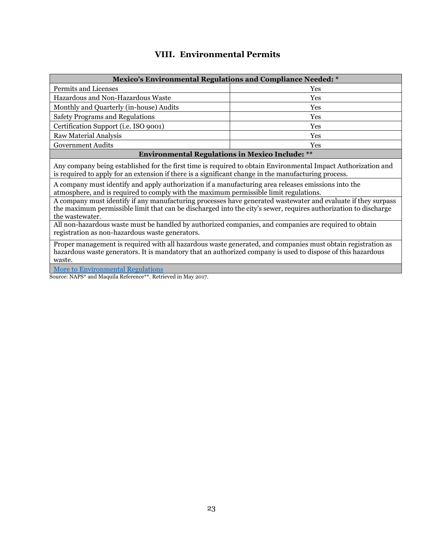## **VIII. Environmental Permits**

<span id="page-24-0"></span>

| <b>Mexico's Environmental Regulations and Compliance Needed: *</b>                                                                                                                                                                                                                                                                                                                                                                                                                                                                                                                                                                                                                                                                                                                                                                                                                                                                                                                                                                                                     |     |  |
|------------------------------------------------------------------------------------------------------------------------------------------------------------------------------------------------------------------------------------------------------------------------------------------------------------------------------------------------------------------------------------------------------------------------------------------------------------------------------------------------------------------------------------------------------------------------------------------------------------------------------------------------------------------------------------------------------------------------------------------------------------------------------------------------------------------------------------------------------------------------------------------------------------------------------------------------------------------------------------------------------------------------------------------------------------------------|-----|--|
| Permits and Licenses                                                                                                                                                                                                                                                                                                                                                                                                                                                                                                                                                                                                                                                                                                                                                                                                                                                                                                                                                                                                                                                   | Yes |  |
| Hazardous and Non-Hazardous Waste                                                                                                                                                                                                                                                                                                                                                                                                                                                                                                                                                                                                                                                                                                                                                                                                                                                                                                                                                                                                                                      | Yes |  |
| Monthly and Quarterly (in-house) Audits                                                                                                                                                                                                                                                                                                                                                                                                                                                                                                                                                                                                                                                                                                                                                                                                                                                                                                                                                                                                                                | Yes |  |
| <b>Safety Programs and Regulations</b>                                                                                                                                                                                                                                                                                                                                                                                                                                                                                                                                                                                                                                                                                                                                                                                                                                                                                                                                                                                                                                 | Yes |  |
| Certification Support (i.e. ISO 9001)                                                                                                                                                                                                                                                                                                                                                                                                                                                                                                                                                                                                                                                                                                                                                                                                                                                                                                                                                                                                                                  | Yes |  |
| <b>Raw Material Analysis</b>                                                                                                                                                                                                                                                                                                                                                                                                                                                                                                                                                                                                                                                                                                                                                                                                                                                                                                                                                                                                                                           | Yes |  |
| <b>Government Audits</b>                                                                                                                                                                                                                                                                                                                                                                                                                                                                                                                                                                                                                                                                                                                                                                                                                                                                                                                                                                                                                                               | Yes |  |
| <b>Environmental Regulations in Mexico Include: **</b>                                                                                                                                                                                                                                                                                                                                                                                                                                                                                                                                                                                                                                                                                                                                                                                                                                                                                                                                                                                                                 |     |  |
| Any company being established for the first time is required to obtain Environmental Impact Authorization and<br>is required to apply for an extension if there is a significant change in the manufacturing process.<br>A company must identify and apply authorization if a manufacturing area releases emissions into the<br>atmosphere, and is required to comply with the maximum permissible limit regulations.<br>A company must identify if any manufacturing processes have generated wastewater and evaluate if they surpass<br>the maximum permissible limit that can be discharged into the city's sewer, requires authorization to discharge<br>the wastewater.<br>All non-hazardous waste must be handled by authorized companies, and companies are required to obtain<br>registration as non-hazardous waste generators.<br>Proper management is required with all hazardous waste generated, and companies must obtain registration as<br>hazardous waste generators. It is mandatory that an authorized company is used to dispose of this hazardous |     |  |
| waste.                                                                                                                                                                                                                                                                                                                                                                                                                                                                                                                                                                                                                                                                                                                                                                                                                                                                                                                                                                                                                                                                 |     |  |
| <b>More to Environmental Regulations</b><br>Source: NAPS* and Maquila Reference <sup>**</sup> Retrieved in May 2017                                                                                                                                                                                                                                                                                                                                                                                                                                                                                                                                                                                                                                                                                                                                                                                                                                                                                                                                                    |     |  |

Source: NAPS\* and Maquila Reference\*\*. Retrieved in May 2017.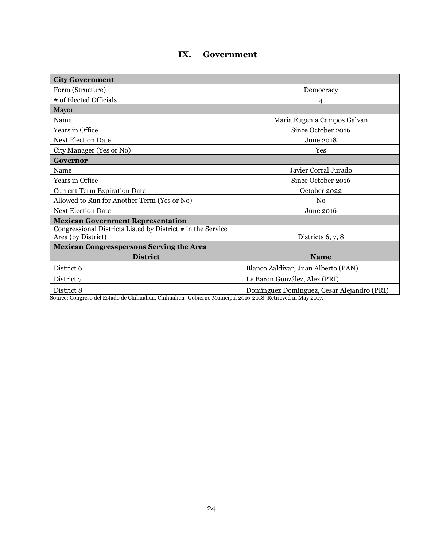## **IX. Government**

<span id="page-25-0"></span>

| <b>City Government</b>                                                              |                                            |  |
|-------------------------------------------------------------------------------------|--------------------------------------------|--|
| Form (Structure)                                                                    | Democracy                                  |  |
| # of Elected Officials                                                              | 4                                          |  |
| Mayor                                                                               |                                            |  |
| Name                                                                                | Maria Eugenia Campos Galvan                |  |
| Years in Office                                                                     | Since October 2016                         |  |
| <b>Next Election Date</b>                                                           | June 2018                                  |  |
| City Manager (Yes or No)                                                            | Yes                                        |  |
| Governor                                                                            |                                            |  |
| Name                                                                                | Javier Corral Jurado                       |  |
| Years in Office                                                                     | Since October 2016                         |  |
| <b>Current Term Expiration Date</b>                                                 | October 2022                               |  |
| Allowed to Run for Another Term (Yes or No)                                         | No                                         |  |
| <b>Next Election Date</b>                                                           | June 2016                                  |  |
| <b>Mexican Government Representation</b>                                            |                                            |  |
| Congressional Districts Listed by District $#$ in the Service<br>Area (by District) | Districts $6, 7, 8$                        |  |
| <b>Mexican Congresspersons Serving the Area</b>                                     |                                            |  |
| <b>District</b>                                                                     | <b>Name</b>                                |  |
| District 6                                                                          | Blanco Zaldívar, Juan Alberto (PAN)        |  |
| District 7                                                                          | Le Baron González, Alex (PRI)              |  |
| District 8                                                                          | Domínguez Domínguez, Cesar Alejandro (PRI) |  |

Source: Congreso del Estado de Chihuahua, Chihuahua- Gobierno Municipal 2016-2018. Retrieved in May 2017.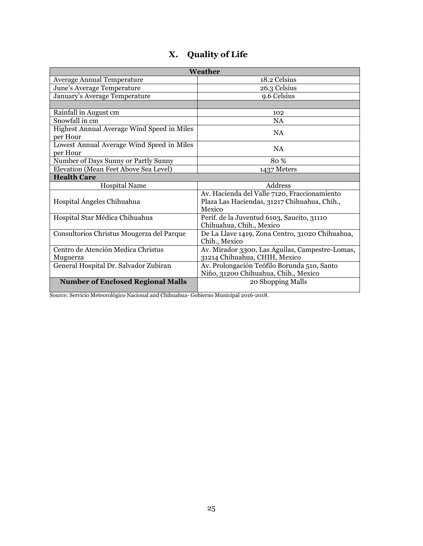<span id="page-26-0"></span>

| Weather                                                |                                                                                                        |  |
|--------------------------------------------------------|--------------------------------------------------------------------------------------------------------|--|
| <b>Average Annual Temperature</b>                      | 18.2 Celsius                                                                                           |  |
| June's Average Temperature                             | 26.3 Celsius                                                                                           |  |
| January's Average Temperature                          | 9.6 Celsius                                                                                            |  |
|                                                        |                                                                                                        |  |
| Rainfall in August cm                                  | 102                                                                                                    |  |
| Snowfall in cm                                         | <b>NA</b>                                                                                              |  |
| Highest Annual Average Wind Speed in Miles<br>per Hour | <b>NA</b>                                                                                              |  |
| Lowest Annual Average Wind Speed in Miles<br>per Hour  | NA                                                                                                     |  |
| Number of Days Sunny or Partly Sunny                   | 80 %                                                                                                   |  |
| Elevation (Mean Feet Above Sea Level)                  | 1437 Meters                                                                                            |  |
| <b>Health Care</b>                                     |                                                                                                        |  |
| <b>Hospital Name</b>                                   | Address                                                                                                |  |
| Hospital Ángeles Chihuahua                             | Av. Hacienda del Valle 7120, Fraccionamiento<br>Plaza Las Haciendas, 31217 Chihuahua, Chih.,<br>Mexico |  |
| Hospital Star Médica Chihuahua                         | Perif. de la Juventud 6103, Saucito, 31110<br>Chihuahua, Chih., Mexico                                 |  |
| Consultorios Christus Mougerza del Parque              | De La Llave 1419, Zona Centro, 31020 Chihuahua,<br>Chih., Mexico                                       |  |
| Centro de Atención Medica Christus                     | Av. Mirador 3300, Las Aguilas, Campestre-Lomas,                                                        |  |
| Muguerza                                               | 31214 Chihuahua, CHIH, Mexico                                                                          |  |
| General Hospital Dr. Salvador Zubiran                  | Av. Prolongación Teófilo Borunda 510, Santo                                                            |  |
|                                                        | Niño, 31200 Chihuahua, Chih., Mexico                                                                   |  |
| <b>Number of Enclosed Regional Malls</b>               | 20 Shopping Malls                                                                                      |  |

# **X. Quality of Life**

Source: Servicio Meteorológico Nacional and Chihuahua- Gobierno Municipal 2016-2018.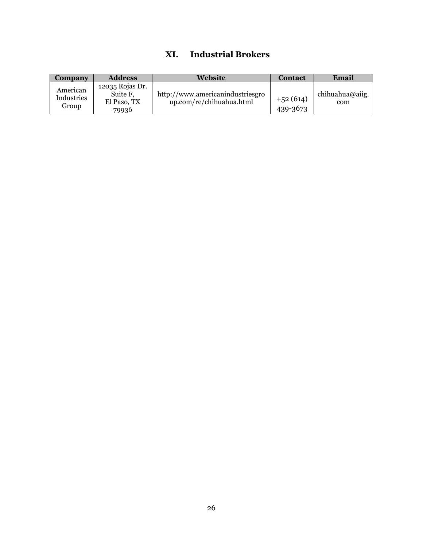## **XI. Industrial Brokers**

<span id="page-27-0"></span>

| Company                         | <b>Address</b>                                      | Website                                                      | <b>Contact</b>         | Email                  |
|---------------------------------|-----------------------------------------------------|--------------------------------------------------------------|------------------------|------------------------|
| American<br>Industries<br>Group | 12035 Rojas Dr.<br>Suite F,<br>El Paso, TX<br>79936 | http://www.americanindustriesgro<br>up.com/re/chihuahua.html | $+52(614)$<br>439-3673 | chihuahua@aiig.<br>com |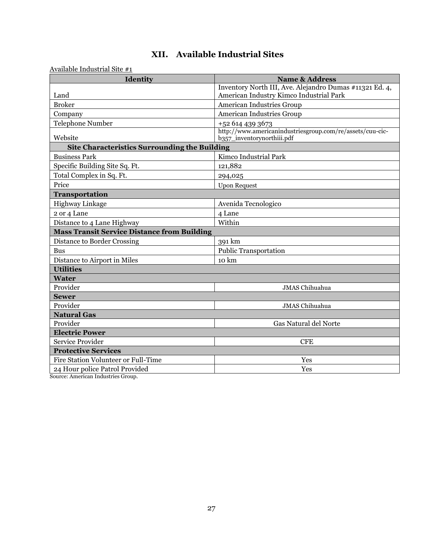|  | XII. Available Industrial Sites |
|--|---------------------------------|
|--|---------------------------------|

<span id="page-28-0"></span>Available Industrial Site #1

| $\alpha$ and $\beta$ is a negative that $\beta$ is the set of $\alpha$<br>Identity | <b>Name &amp; Address</b>                                                               |  |
|------------------------------------------------------------------------------------|-----------------------------------------------------------------------------------------|--|
|                                                                                    | Inventory North III, Ave. Alejandro Dumas #11321 Ed. 4,                                 |  |
| Land                                                                               | American Industry Kimco Industrial Park                                                 |  |
| <b>Broker</b>                                                                      | American Industries Group                                                               |  |
| Company                                                                            | American Industries Group                                                               |  |
| <b>Telephone Number</b>                                                            | +52 614 439 3673                                                                        |  |
| Website                                                                            | http://www.americanindustriesgroup.com/re/assets/cuu-cic-<br>b357_inventorynorthiii.pdf |  |
| <b>Site Characteristics Surrounding the Building</b>                               |                                                                                         |  |
| <b>Business Park</b>                                                               | Kimco Industrial Park                                                                   |  |
| Specific Building Site Sq. Ft.                                                     | 121,882                                                                                 |  |
| Total Complex in Sq. Ft.                                                           | 294,025                                                                                 |  |
| Price                                                                              | <b>Upon Request</b>                                                                     |  |
| <b>Transportation</b>                                                              |                                                                                         |  |
| Highway Linkage                                                                    | Avenida Tecnologico                                                                     |  |
| 2 or 4 Lane                                                                        | 4 Lane                                                                                  |  |
| Distance to 4 Lane Highway                                                         | Within                                                                                  |  |
| <b>Mass Transit Service Distance from Building</b>                                 |                                                                                         |  |
| Distance to Border Crossing                                                        | 391 km                                                                                  |  |
| <b>Bus</b>                                                                         | <b>Public Transportation</b>                                                            |  |
| Distance to Airport in Miles                                                       | 10 km                                                                                   |  |
| <b>Utilities</b>                                                                   |                                                                                         |  |
| <b>Water</b>                                                                       |                                                                                         |  |
| Provider                                                                           | JMAS Chihuahua                                                                          |  |
| <b>Sewer</b>                                                                       |                                                                                         |  |
| Provider                                                                           | JMAS Chihuahua                                                                          |  |
| <b>Natural Gas</b>                                                                 |                                                                                         |  |
| Provider                                                                           | Gas Natural del Norte                                                                   |  |
| <b>Electric Power</b>                                                              |                                                                                         |  |
| Service Provider                                                                   | <b>CFE</b>                                                                              |  |
| <b>Protective Services</b>                                                         |                                                                                         |  |
| Fire Station Volunteer or Full-Time                                                | Yes                                                                                     |  |
| 24 Hour police Patrol Provided                                                     | Yes                                                                                     |  |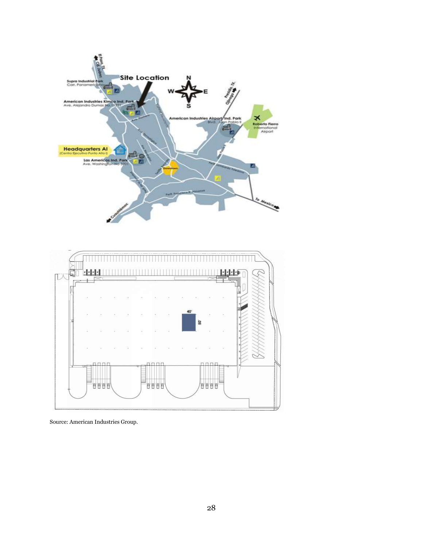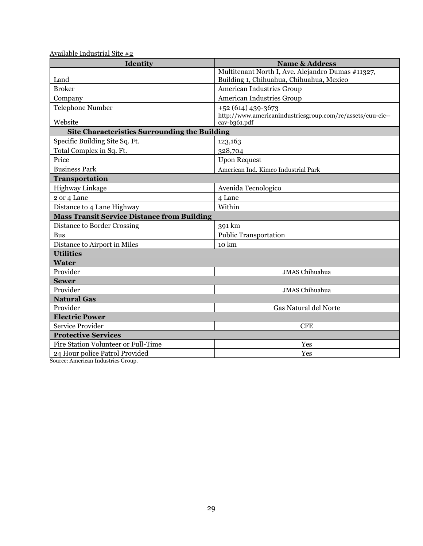| Available Industrial Site #2 |
|------------------------------|
|------------------------------|

| Identity                                             | <b>Name &amp; Address</b>                                                  |  |
|------------------------------------------------------|----------------------------------------------------------------------------|--|
|                                                      | Multitenant North I, Ave. Alejandro Dumas #11327,                          |  |
| Land                                                 | Building 1, Chihuahua, Chihuahua, Mexico                                   |  |
| <b>Broker</b>                                        | American Industries Group                                                  |  |
| Company                                              | <b>American Industries Group</b>                                           |  |
| <b>Telephone Number</b>                              | $+52(614)$ 439-3673                                                        |  |
| Website                                              | http://www.americanindustriesgroup.com/re/assets/cuu-cic--<br>cav-b361.pdf |  |
| <b>Site Characteristics Surrounding the Building</b> |                                                                            |  |
| Specific Building Site Sq. Ft.                       | 123,163                                                                    |  |
| Total Complex in Sq. Ft.                             | 328,704                                                                    |  |
| Price                                                | <b>Upon Request</b>                                                        |  |
| <b>Business Park</b>                                 | American Ind. Kimco Industrial Park                                        |  |
| Transportation                                       |                                                                            |  |
| Highway Linkage                                      | Avenida Tecnologico                                                        |  |
| 2 or 4 Lane                                          | 4 Lane                                                                     |  |
| Distance to 4 Lane Highway                           | Within                                                                     |  |
| <b>Mass Transit Service Distance from Building</b>   |                                                                            |  |
| Distance to Border Crossing                          | 391 km                                                                     |  |
| <b>Bus</b>                                           | <b>Public Transportation</b>                                               |  |
| Distance to Airport in Miles                         | $10 \text{ km}$                                                            |  |
| <b>Utilities</b>                                     |                                                                            |  |
| <b>Water</b>                                         |                                                                            |  |
| Provider                                             | <b>JMAS Chihuahua</b>                                                      |  |
| <b>Sewer</b>                                         |                                                                            |  |
| Provider                                             | <b>JMAS</b> Chihuahua                                                      |  |
| <b>Natural Gas</b>                                   |                                                                            |  |
| Provider                                             | Gas Natural del Norte                                                      |  |
| <b>Electric Power</b>                                |                                                                            |  |
| Service Provider                                     | <b>CFE</b>                                                                 |  |
| <b>Protective Services</b>                           |                                                                            |  |
| Fire Station Volunteer or Full-Time                  | Yes                                                                        |  |
| 24 Hour police Patrol Provided                       | Yes                                                                        |  |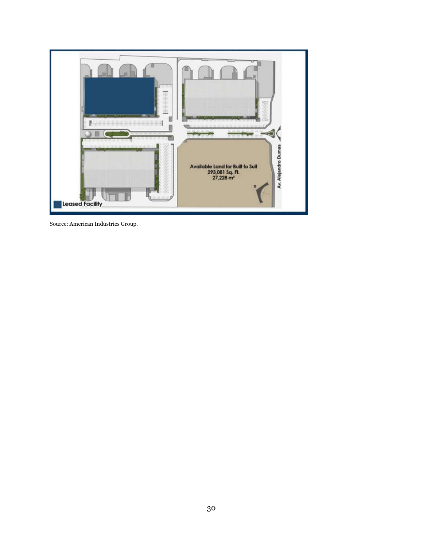

Source: American Industries Group.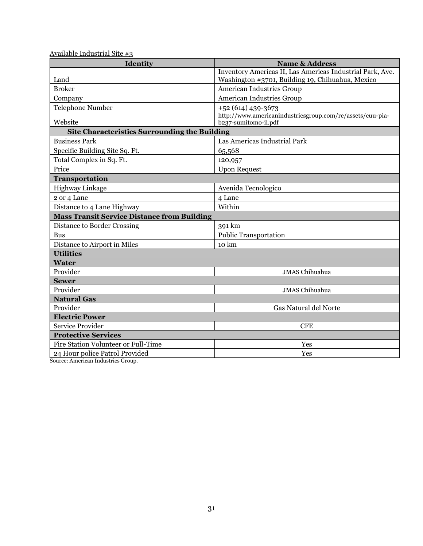| Available Industrial Site #3 |
|------------------------------|
|------------------------------|

| Identity                                             | <b>Name &amp; Address</b>                                                                                     |  |
|------------------------------------------------------|---------------------------------------------------------------------------------------------------------------|--|
| Land                                                 | Inventory Americas II, Las Americas Industrial Park, Ave.<br>Washington #3701, Building 19, Chihuahua, Mexico |  |
| <b>Broker</b>                                        | American Industries Group                                                                                     |  |
| Company                                              | <b>American Industries Group</b>                                                                              |  |
| <b>Telephone Number</b>                              | $+52(614)$ 439-3673                                                                                           |  |
| Website                                              | http://www.americanindustriesgroup.com/re/assets/cuu-pia-<br>b237-sumitomo-ii.pdf                             |  |
| <b>Site Characteristics Surrounding the Building</b> |                                                                                                               |  |
| <b>Business Park</b>                                 | Las Americas Industrial Park                                                                                  |  |
| Specific Building Site Sq. Ft.                       | 65,568                                                                                                        |  |
| Total Complex in Sq. Ft.                             | 120,957                                                                                                       |  |
| Price                                                | <b>Upon Request</b>                                                                                           |  |
| Transportation                                       |                                                                                                               |  |
| Highway Linkage                                      | Avenida Tecnologico                                                                                           |  |
| 2 or 4 Lane                                          | 4 Lane                                                                                                        |  |
| Distance to 4 Lane Highway                           | Within                                                                                                        |  |
| <b>Mass Transit Service Distance from Building</b>   |                                                                                                               |  |
| Distance to Border Crossing                          | 391 km                                                                                                        |  |
| <b>Bus</b>                                           | <b>Public Transportation</b>                                                                                  |  |
| Distance to Airport in Miles                         | 10 km                                                                                                         |  |
| <b>Utilities</b>                                     |                                                                                                               |  |
| <b>Water</b>                                         |                                                                                                               |  |
| Provider                                             | <b>JMAS Chihuahua</b>                                                                                         |  |
| <b>Sewer</b>                                         |                                                                                                               |  |
| Provider                                             | <b>JMAS</b> Chihuahua                                                                                         |  |
| <b>Natural Gas</b>                                   |                                                                                                               |  |
| Provider                                             | Gas Natural del Norte                                                                                         |  |
| <b>Electric Power</b>                                |                                                                                                               |  |
| Service Provider                                     | <b>CFE</b>                                                                                                    |  |
| <b>Protective Services</b>                           |                                                                                                               |  |
| Fire Station Volunteer or Full-Time                  | Yes                                                                                                           |  |
| 24 Hour police Patrol Provided                       | Yes                                                                                                           |  |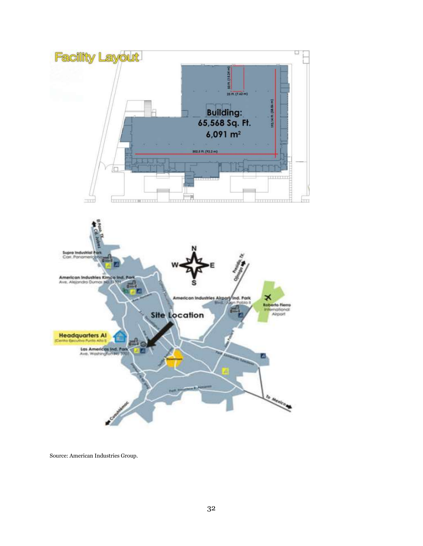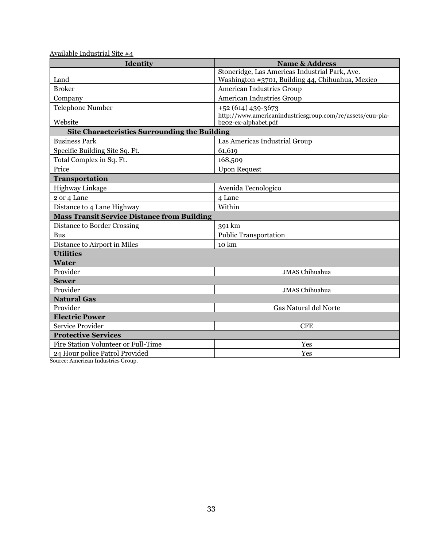| Identity                                             | <b>Name &amp; Address</b>                                                         |
|------------------------------------------------------|-----------------------------------------------------------------------------------|
|                                                      | Stoneridge, Las Americas Industrial Park, Ave.                                    |
| Land                                                 | Washington #3701, Building 44, Chihuahua, Mexico                                  |
| <b>Broker</b>                                        | American Industries Group                                                         |
| Company                                              | American Industries Group                                                         |
| <b>Telephone Number</b>                              | +52 (614) 439-3673                                                                |
| Website                                              | http://www.americanindustriesgroup.com/re/assets/cuu-pia-<br>b202-ex-alphabet.pdf |
| <b>Site Characteristics Surrounding the Building</b> |                                                                                   |
| <b>Business Park</b>                                 | Las Americas Industrial Group                                                     |
| Specific Building Site Sq. Ft.                       | 61,619                                                                            |
| Total Complex in Sq. Ft.                             | 168,509                                                                           |
| Price                                                | <b>Upon Request</b>                                                               |
| <b>Transportation</b>                                |                                                                                   |
| Highway Linkage                                      | Avenida Tecnologico                                                               |
| 2 or 4 Lane                                          | 4 Lane                                                                            |
| Distance to 4 Lane Highway                           | Within                                                                            |
| <b>Mass Transit Service Distance from Building</b>   |                                                                                   |
| Distance to Border Crossing                          | 391 km                                                                            |
| <b>Bus</b>                                           | <b>Public Transportation</b>                                                      |
| Distance to Airport in Miles                         | 10 km                                                                             |
| <b>Utilities</b>                                     |                                                                                   |
| <b>Water</b>                                         |                                                                                   |
| Provider                                             | <b>JMAS Chihuahua</b>                                                             |
| <b>Sewer</b>                                         |                                                                                   |
| Provider                                             | <b>JMAS</b> Chihuahua                                                             |
| <b>Natural Gas</b>                                   |                                                                                   |
| Provider                                             | Gas Natural del Norte                                                             |
| <b>Electric Power</b>                                |                                                                                   |
| Service Provider                                     | <b>CFE</b>                                                                        |
| <b>Protective Services</b>                           |                                                                                   |
| Fire Station Volunteer or Full-Time                  | Yes                                                                               |
| 24 Hour police Patrol Provided                       | Yes                                                                               |

Available Industrial Site #4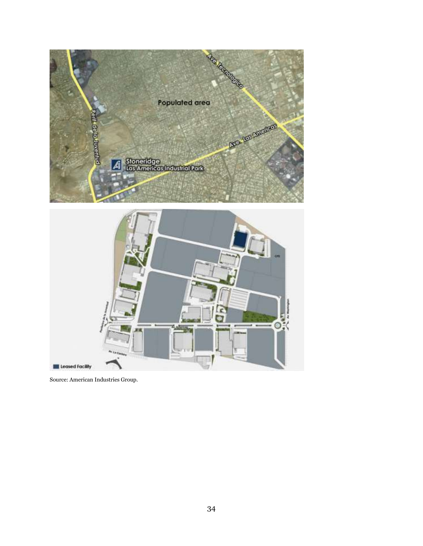

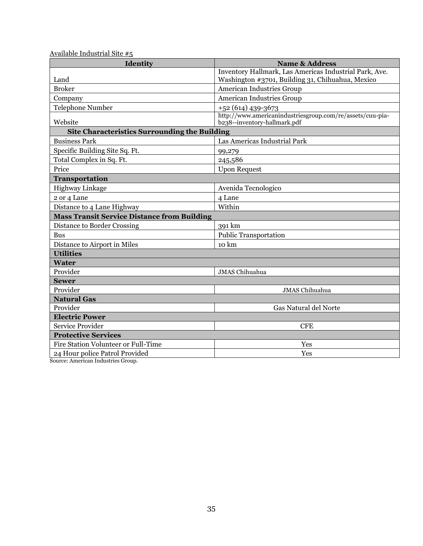| Available Industrial Site #5 |
|------------------------------|
|------------------------------|

| Identity                                             | <b>Name &amp; Address</b>                                                                                  |
|------------------------------------------------------|------------------------------------------------------------------------------------------------------------|
| Land                                                 | Inventory Hallmark, Las Americas Industrial Park, Ave.<br>Washington #3701, Building 31, Chihuahua, Mexico |
| <b>Broker</b>                                        | American Industries Group                                                                                  |
| Company                                              | <b>American Industries Group</b>                                                                           |
| <b>Telephone Number</b>                              | $+52(614)$ 439-3673                                                                                        |
| Website                                              | http://www.americanindustriesgroup.com/re/assets/cuu-pia-<br>b238--inventory-hallmark.pdf                  |
| <b>Site Characteristics Surrounding the Building</b> |                                                                                                            |
| <b>Business Park</b>                                 | Las Americas Industrial Park                                                                               |
| Specific Building Site Sq. Ft.                       | 99,279                                                                                                     |
| Total Complex in Sq. Ft.                             | 245,586                                                                                                    |
| Price                                                | <b>Upon Request</b>                                                                                        |
| Transportation                                       |                                                                                                            |
| Highway Linkage                                      | Avenida Tecnologico                                                                                        |
| 2 or 4 Lane                                          | 4 Lane                                                                                                     |
| Distance to 4 Lane Highway                           | Within                                                                                                     |
| <b>Mass Transit Service Distance from Building</b>   |                                                                                                            |
| Distance to Border Crossing                          | 391 km                                                                                                     |
| <b>Bus</b>                                           | <b>Public Transportation</b>                                                                               |
| Distance to Airport in Miles                         | 10 km                                                                                                      |
| <b>Utilities</b>                                     |                                                                                                            |
| <b>Water</b>                                         |                                                                                                            |
| Provider                                             | JMAS Chihuahua                                                                                             |
| <b>Sewer</b>                                         |                                                                                                            |
| Provider                                             | <b>JMAS</b> Chihuahua                                                                                      |
| <b>Natural Gas</b>                                   |                                                                                                            |
| Provider                                             | Gas Natural del Norte                                                                                      |
| <b>Electric Power</b>                                |                                                                                                            |
| Service Provider                                     | <b>CFE</b>                                                                                                 |
| <b>Protective Services</b>                           |                                                                                                            |
| Fire Station Volunteer or Full-Time                  | Yes                                                                                                        |
| 24 Hour police Patrol Provided                       | Yes                                                                                                        |